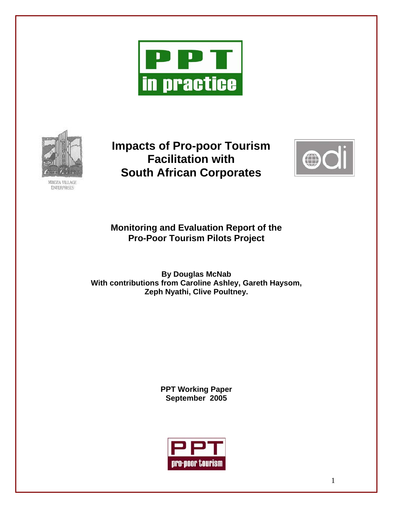



**Impacts of Pro-poor Tourism Facilitation with South African Corporates** 



**Monitoring and Evaluation Report of the Pro-Poor Tourism Pilots Project** 

**By Douglas McNab With contributions from Caroline Ashley, Gareth Haysom, Zeph Nyathi, Clive Poultney.** 

> **PPT Working Paper September 2005**

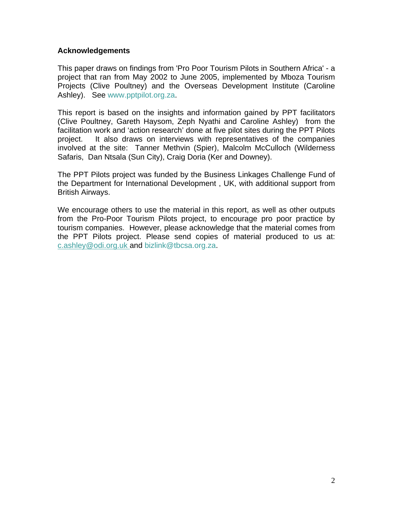## **Acknowledgements**

This paper draws on findings from 'Pro Poor Tourism Pilots in Southern Africa' - a project that ran from May 2002 to June 2005, implemented by Mboza Tourism Projects (Clive Poultney) and the Overseas Development Institute (Caroline Ashley). See [www.pptpilot.org.za.](http://www.pptpilot.org.za/)

This report is based on the insights and information gained by PPT facilitators (Clive Poultney, Gareth Haysom, Zeph Nyathi and Caroline Ashley) from the facilitation work and 'action research' done at five pilot sites during the PPT Pilots project. It also draws on interviews with representatives of the companies involved at the site: Tanner Methvin (Spier), Malcolm McCulloch (Wilderness Safaris, Dan Ntsala (Sun City), Craig Doria (Ker and Downey).

The PPT Pilots project was funded by the Business Linkages Challenge Fund of the Department for International Development , UK, with additional support from British Airways.

We encourage others to use the material in this report, as well as other outputs from the Pro-Poor Tourism Pilots project, to encourage pro poor practice by tourism companies. However, please acknowledge that the material comes from the PPT Pilots project. Please send copies of material produced to us at: c.ashley@odi.org.uk and [bizlink@tbcsa.org.za](mailto:bizlink@tbcsa.org.za).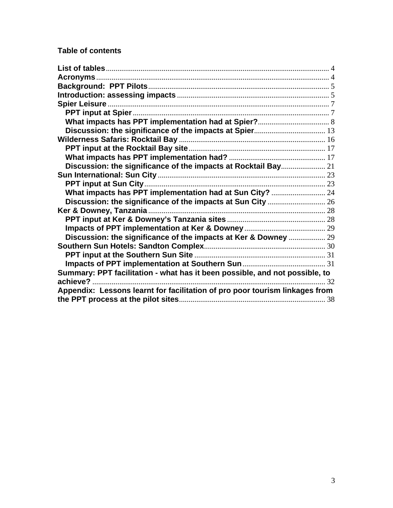# **Table of contents**

| What impacts has PPT implementation had at Sun City?  24                    |  |
|-----------------------------------------------------------------------------|--|
|                                                                             |  |
|                                                                             |  |
|                                                                             |  |
|                                                                             |  |
| Discussion: the significance of the impacts at Ker & Downey  29             |  |
|                                                                             |  |
|                                                                             |  |
|                                                                             |  |
| Summary: PPT facilitation - what has it been possible, and not possible, to |  |
|                                                                             |  |
| Appendix: Lessons learnt for facilitation of pro poor tourism linkages from |  |
|                                                                             |  |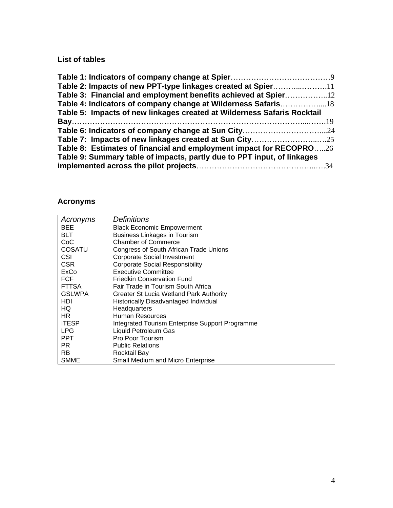# <span id="page-3-0"></span>**List of tables**

| Table 2: Impacts of new PPT-type linkages created at Spier11            |  |
|-------------------------------------------------------------------------|--|
| Table 3: Financial and employment benefits achieved at Spier            |  |
|                                                                         |  |
| Table 5: Impacts of new linkages created at Wilderness Safaris Rocktail |  |
|                                                                         |  |
|                                                                         |  |
|                                                                         |  |
| Table 8: Estimates of financial and employment impact for RECOPRO26     |  |
| Table 9: Summary table of impacts, partly due to PPT input, of linkages |  |
|                                                                         |  |

# **Acronyms**

| Acronyms       | <i>Definitions</i>                              |
|----------------|-------------------------------------------------|
| <b>BEE</b>     | <b>Black Economic Empowerment</b>               |
| <b>BLT</b>     | <b>Business Linkages in Tourism</b>             |
| CoC            | <b>Chamber of Commerce</b>                      |
| <b>COSATU</b>  | <b>Congress of South African Trade Unions</b>   |
| <b>CSI</b>     | Corporate Social Investment                     |
| CSR.           | <b>Corporate Social Responsibility</b>          |
| ExCo           | <b>Executive Committee</b>                      |
| <b>FCF</b>     | <b>Friedkin Conservation Fund</b>               |
| <b>FTTSA</b>   | Fair Trade in Tourism South Africa              |
| <b>GSLWPA</b>  | Greater St Lucia Wetland Park Authority         |
| HDI            | Historically Disadvantaged Individual           |
| HQ.            | Headquarters                                    |
| HR.            | Human Resources                                 |
| <b>ITESP</b>   | Integrated Tourism Enterprise Support Programme |
| <b>LPG</b>     | Liquid Petroleum Gas                            |
| <b>PPT</b>     | Pro Poor Tourism                                |
| PR.            | <b>Public Relations</b>                         |
| R <sub>B</sub> | Rocktail Bay                                    |
| <b>SMME</b>    | Small Medium and Micro Enterprise               |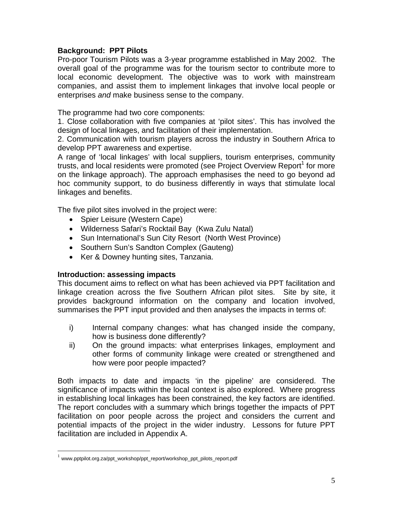# <span id="page-4-0"></span>**Background: PPT Pilots**

Pro-poor Tourism Pilots was a 3-year programme established in May 2002. The overall goal of the programme was for the tourism sector to contribute more to local economic development. The objective was to work with mainstream companies, and assist them to implement linkages that involve local people or enterprises *and* make business sense to the company.

The programme had two core components:

1. Close collaboration with five companies at 'pilot sites'. This has involved the design of local linkages, and facilitation of their implementation.

2. Communication with tourism players across the industry in Southern Africa to develop PPT awareness and expertise.

A range of 'local linkages' with local suppliers, tourism enterprises, community trusts, and local residents were promoted (see Project Overview Report<sup>[1](#page-4-1)</sup> for more on the linkage approach). The approach emphasises the need to go beyond ad hoc community support, to do business differently in ways that stimulate local linkages and benefits.

The five pilot sites involved in the project were:

- Spier Leisure (Western Cape)
- Wilderness Safari's Rocktail Bay (Kwa Zulu Natal)
- Sun International's Sun City Resort (North West Province)
- Southern Sun's Sandton Complex (Gauteng)
- Ker & Downey hunting sites, Tanzania.

# **Introduction: assessing impacts**

This document aims to reflect on what has been achieved via PPT facilitation and linkage creation across the five Southern African pilot sites. Site by site, it provides background information on the company and location involved, summarises the PPT input provided and then analyses the impacts in terms of:

- i) Internal company changes: what has changed inside the company, how is business done differently?
- ii) On the ground impacts: what enterprises linkages, employment and other forms of community linkage were created or strengthened and how were poor people impacted?

Both impacts to date and impacts 'in the pipeline' are considered. The significance of impacts within the local context is also explored. Where progress in establishing local linkages has been constrained, the key factors are identified. The report concludes with a summary which brings together the impacts of PPT facilitation on poor people across the project and considers the current and potential impacts of the project in the wider industry. Lessons for future PPT facilitation are included in Appendix A.

 $\overline{a}$ 

<span id="page-4-1"></span> $^{1}$  www.pptpilot.org.za/ppt\_workshop/ppt\_report/workshop\_ppt\_pilots\_report.pdf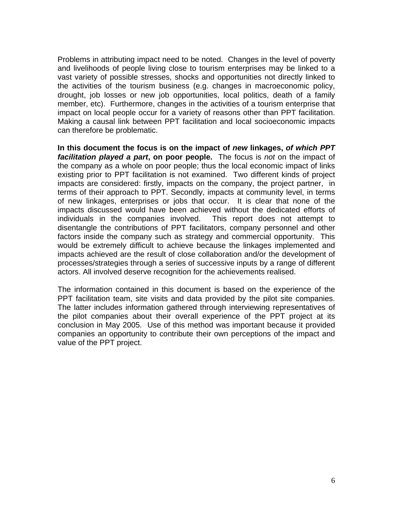Problems in attributing impact need to be noted. Changes in the level of poverty and livelihoods of people living close to tourism enterprises may be linked to a vast variety of possible stresses, shocks and opportunities not directly linked to the activities of the tourism business (e.g. changes in macroeconomic policy, drought, job losses or new job opportunities, local politics, death of a family member, etc). Furthermore, changes in the activities of a tourism enterprise that impact on local people occur for a variety of reasons other than PPT facilitation. Making a causal link between PPT facilitation and local socioeconomic impacts can therefore be problematic.

**In this document the focus is on the impact of** *new* **linkages,** *of which PPT facilitation played a part***, on poor people.** The focus is *not* on the impact of the company as a whole on poor people; thus the local economic impact of links existing prior to PPT facilitation is not examined. Two different kinds of project impacts are considered: firstly, impacts on the company, the project partner, in terms of their approach to PPT. Secondly, impacts at community level, in terms of new linkages, enterprises or jobs that occur. It is clear that none of the impacts discussed would have been achieved without the dedicated efforts of individuals in the companies involved. This report does not attempt to disentangle the contributions of PPT facilitators, company personnel and other factors inside the company such as strategy and commercial opportunity. This would be extremely difficult to achieve because the linkages implemented and impacts achieved are the result of close collaboration and/or the development of processes/strategies through a series of successive inputs by a range of different actors. All involved deserve recognition for the achievements realised.

The information contained in this document is based on the experience of the PPT facilitation team, site visits and data provided by the pilot site companies. The latter includes information gathered through interviewing representatives of the pilot companies about their overall experience of the PPT project at its conclusion in May 2005. Use of this method was important because it provided companies an opportunity to contribute their own perceptions of the impact and value of the PPT project.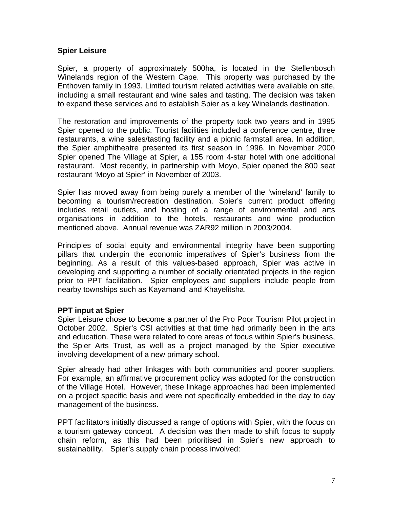# <span id="page-6-0"></span>**Spier Leisure**

Spier, a property of approximately 500ha, is located in the Stellenbosch Winelands region of the Western Cape. This property was purchased by the Enthoven family in 1993. Limited tourism related activities were available on site, including a small restaurant and wine sales and tasting. The decision was taken to expand these services and to establish Spier as a key Winelands destination.

The restoration and improvements of the property took two years and in 1995 Spier opened to the public. Tourist facilities included a conference centre, three restaurants, a wine sales/tasting facility and a picnic farmstall area. In addition, the Spier amphitheatre presented its first season in 1996. In November 2000 Spier opened The Village at Spier, a 155 room 4-star hotel with one additional restaurant. Most recently, in partnership with Moyo, Spier opened the 800 seat restaurant 'Moyo at Spier' in November of 2003.

Spier has moved away from being purely a member of the 'wineland' family to becoming a tourism/recreation destination. Spier's current product offering includes retail outlets, and hosting of a range of environmental and arts organisations in addition to the hotels, restaurants and wine production mentioned above. Annual revenue was ZAR92 million in 2003/2004.

Principles of social equity and environmental integrity have been supporting pillars that underpin the economic imperatives of Spier's business from the beginning. As a result of this values-based approach, Spier was active in developing and supporting a number of socially orientated projects in the region prior to PPT facilitation. Spier employees and suppliers include people from nearby townships such as Kayamandi and Khayelitsha.

# **PPT input at Spier**

Spier Leisure chose to become a partner of the Pro Poor Tourism Pilot project in October 2002. Spier's CSI activities at that time had primarily been in the arts and education. These were related to core areas of focus within Spier's business, the Spier Arts Trust, as well as a project managed by the Spier executive involving development of a new primary school.

Spier already had other linkages with both communities and poorer suppliers. For example, an affirmative procurement policy was adopted for the construction of the Village Hotel. However, these linkage approaches had been implemented on a project specific basis and were not specifically embedded in the day to day management of the business.

PPT facilitators initially discussed a range of options with Spier, with the focus on a tourism gateway concept. A decision was then made to shift focus to supply chain reform, as this had been prioritised in Spier's new approach to sustainability. Spier's supply chain process involved: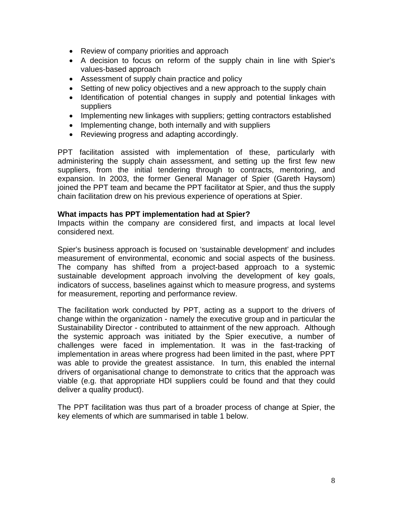- <span id="page-7-0"></span>• Review of company priorities and approach
- A decision to focus on reform of the supply chain in line with Spier's values-based approach
- Assessment of supply chain practice and policy
- Setting of new policy objectives and a new approach to the supply chain
- Identification of potential changes in supply and potential linkages with suppliers
- Implementing new linkages with suppliers; getting contractors established
- Implementing change, both internally and with suppliers
- Reviewing progress and adapting accordingly.

PPT facilitation assisted with implementation of these, particularly with administering the supply chain assessment, and setting up the first few new suppliers, from the initial tendering through to contracts, mentoring, and expansion. In 2003, the former General Manager of Spier (Gareth Haysom) joined the PPT team and became the PPT facilitator at Spier, and thus the supply chain facilitation drew on his previous experience of operations at Spier.

#### **What impacts has PPT implementation had at Spier?**

Impacts within the company are considered first, and impacts at local level considered next.

Spier's business approach is focused on 'sustainable development' and includes measurement of environmental, economic and social aspects of the business. The company has shifted from a project-based approach to a systemic sustainable development approach involving the development of key goals, indicators of success, baselines against which to measure progress, and systems for measurement, reporting and performance review.

The facilitation work conducted by PPT, acting as a support to the drivers of change within the organization - namely the executive group and in particular the Sustainability Director - contributed to attainment of the new approach. Although the systemic approach was initiated by the Spier executive, a number of challenges were faced in implementation. It was in the fast-tracking of implementation in areas where progress had been limited in the past, where PPT was able to provide the greatest assistance. In turn, this enabled the internal drivers of organisational change to demonstrate to critics that the approach was viable (e.g. that appropriate HDI suppliers could be found and that they could deliver a quality product).

The PPT facilitation was thus part of a broader process of change at Spier, the key elements of which are summarised in table 1 below.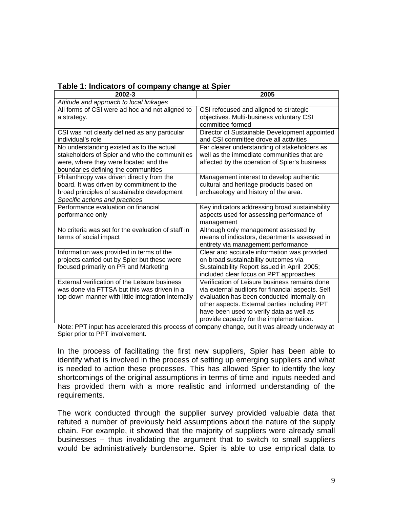| 2002-3                                             | 2005                                              |
|----------------------------------------------------|---------------------------------------------------|
| Attitude and approach to local linkages            |                                                   |
| All forms of CSI were ad hoc and not aligned to    | CSI refocused and aligned to strategic            |
| a strategy.                                        | objectives. Multi-business voluntary CSI          |
|                                                    | committee formed                                  |
| CSI was not clearly defined as any particular      | Director of Sustainable Development appointed     |
| individual's role                                  | and CSI committee drove all activities            |
| No understanding existed as to the actual          | Far clearer understanding of stakeholders as      |
| stakeholders of Spier and who the communities      | well as the immediate communities that are        |
| were, where they were located and the              | affected by the operation of Spier's business     |
| boundaries defining the communities                |                                                   |
| Philanthropy was driven directly from the          | Management interest to develop authentic          |
| board. It was driven by commitment to the          | cultural and heritage products based on           |
| broad principles of sustainable development        | archaeology and history of the area.              |
| Specific actions and practices                     |                                                   |
| Performance evaluation on financial                | Key indicators addressing broad sustainability    |
| performance only                                   | aspects used for assessing performance of         |
|                                                    | management                                        |
| No criteria was set for the evaluation of staff in | Although only management assessed by              |
| terms of social impact                             | means of indicators, departments assessed in      |
|                                                    | entirety via management performance               |
| Information was provided in terms of the           | Clear and accurate information was provided       |
| projects carried out by Spier but these were       | on broad sustainability outcomes via              |
| focused primarily on PR and Marketing              | Sustainability Report issued in April 2005;       |
|                                                    | included clear focus on PPT approaches            |
| External verification of the Leisure business      | Verification of Leisure business remains done     |
| was done via FTTSA but this was driven in a        | via external auditors for financial aspects. Self |
| top down manner with little integration internally | evaluation has been conducted internally on       |
|                                                    | other aspects. External parties including PPT     |
|                                                    | have been used to verify data as well as          |
|                                                    | provide capacity for the implementation.          |

# **Table 1: Indicators of company change at Spier**

Note: PPT input has accelerated this process of company change, but it was already underway at Spier prior to PPT involvement.

In the process of facilitating the first new suppliers, Spier has been able to identify what is involved in the process of setting up emerging suppliers and what is needed to action these processes. This has allowed Spier to identify the key shortcomings of the original assumptions in terms of time and inputs needed and has provided them with a more realistic and informed understanding of the requirements.

The work conducted through the supplier survey provided valuable data that refuted a number of previously held assumptions about the nature of the supply chain. For example, it showed that the majority of suppliers were already small businesses – thus invalidating the argument that to switch to small suppliers would be administratively burdensome. Spier is able to use empirical data to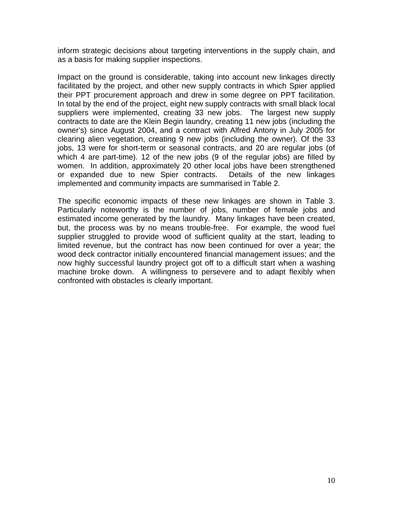inform strategic decisions about targeting interventions in the supply chain, and as a basis for making supplier inspections.

Impact on the ground is considerable, taking into account new linkages directly facilitated by the project, and other new supply contracts in which Spier applied their PPT procurement approach and drew in some degree on PPT facilitation. In total by the end of the project, eight new supply contracts with small black local suppliers were implemented, creating 33 new jobs. The largest new supply contracts to date are the Klein Begin laundry, creating 11 new jobs (including the owner's) since August 2004, and a contract with Alfred Antony in July 2005 for clearing alien vegetation, creating 9 new jobs (including the owner). Of the 33 jobs, 13 were for short-term or seasonal contracts, and 20 are regular jobs (of which 4 are part-time). 12 of the new jobs (9 of the regular jobs) are filled by women. In addition, approximately 20 other local jobs have been strengthened or expanded due to new Spier contracts. Details of the new linkages implemented and community impacts are summarised in Table 2.

The specific economic impacts of these new linkages are shown in Table 3. Particularly noteworthy is the number of jobs, number of female jobs and estimated income generated by the laundry. Many linkages have been created, but, the process was by no means trouble-free. For example, the wood fuel supplier struggled to provide wood of sufficient quality at the start, leading to limited revenue, but the contract has now been continued for over a year; the wood deck contractor initially encountered financial management issues; and the now highly successful laundry project got off to a difficult start when a washing machine broke down. A willingness to persevere and to adapt flexibly when confronted with obstacles is clearly important.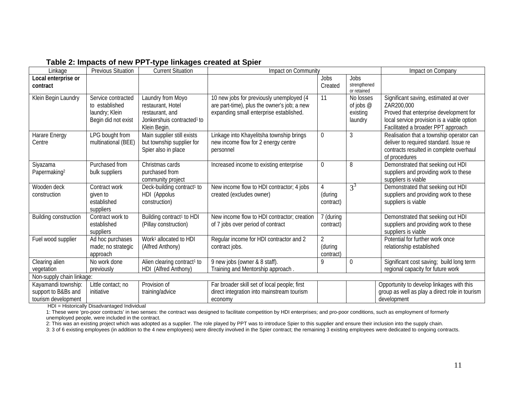| Linkage                                                           | <b>Previous Situation</b>                                                     | <b>Current Situation</b>                                                                                            | Impact on Community                                                                                                                |                                        |                                                 | Impact on Company                                                                                                                                                                 |
|-------------------------------------------------------------------|-------------------------------------------------------------------------------|---------------------------------------------------------------------------------------------------------------------|------------------------------------------------------------------------------------------------------------------------------------|----------------------------------------|-------------------------------------------------|-----------------------------------------------------------------------------------------------------------------------------------------------------------------------------------|
| Local enterprise or<br>contract                                   |                                                                               |                                                                                                                     |                                                                                                                                    | Jobs<br>Created                        | Jobs<br>strengthened<br>or retained             |                                                                                                                                                                                   |
| Klein Begin Laundry                                               | Service contracted<br>to established<br>laundry; Klein<br>Begin did not exist | Laundry from Moyo<br>restaurant, Hotel<br>restaurant, and<br>Jonkershuis contracted <sup>1</sup> to<br>Klein Begin. | 10 new jobs for previously unemployed (4<br>are part-time), plus the owner's job; a new<br>expanding small enterprise established. | 11                                     | No losses<br>of jobs $@$<br>existing<br>laundry | Significant saving, estimated at over<br>ZAR200,000<br>Proved that enterprise development for<br>local service provision is a viable option<br>Facilitated a broader PPT approach |
| Harare Energy<br>Centre                                           | LPG bought from<br>multinational (BEE)                                        | Main supplier still exists<br>but township supplier for<br>Spier also in place                                      | Linkage into Khayelitsha township brings<br>new income flow for 2 energy centre<br>personnel                                       | $\boldsymbol{0}$                       | 3                                               | Realisation that a township operator can<br>deliver to required standard. Issue re<br>contracts resulted in complete overhaul<br>of procedures                                    |
| Siyazama<br>Papermaking <sup>2</sup>                              | Purchased from<br>bulk suppliers                                              | Christmas cards<br>purchased from<br>community project                                                              | Increased income to existing enterprise                                                                                            | $\mathbf 0$                            | 8                                               | Demonstrated that seeking out HDI<br>suppliers and providing work to these<br>suppliers is viable                                                                                 |
| Wooden deck<br>construction                                       | Contract work<br>given to<br>established<br>suppliers                         | Deck-building contract <sup>1</sup> to<br>HDI (Appolus<br>construction)                                             | New income flow to HDI contractor; 4 jobs<br>created (excludes owner)                                                              | 4<br>(during<br>contract)              | $3^3$                                           | Demonstrated that seeking out HDI<br>suppliers and providing work to these<br>suppliers is viable                                                                                 |
| <b>Building construction</b>                                      | Contract work to<br>established<br>suppliers                                  | Building contract <sup>1</sup> to HDI<br>(Pillay construction)                                                      | New income flow to HDI contractor; creation<br>of 7 jobs over period of contract                                                   | 7 (during<br>contract)                 |                                                 | Demonstrated that seeking out HDI<br>suppliers and providing work to these<br>suppliers is viable                                                                                 |
| Fuel wood supplier                                                | Ad hoc purchases<br>made; no strategic<br>approach                            | Work <sup>1</sup> allocated to HDI<br>(Alfred Anthony)                                                              | Regular income for HDI contractor and 2<br>contract jobs.                                                                          | $\overline{2}$<br>(during<br>contract) |                                                 | Potential for further work once<br>relationship established                                                                                                                       |
| Clearing alien<br>vegetation                                      | No work done<br>previously                                                    | Alien clearing contract <sup>1</sup> to<br><b>HDI</b><br>(Alfred Anthony)                                           | 9 new jobs (owner & 8 staff).<br>Training and Mentorship approach.                                                                 | 9                                      | 0                                               | Significant cost saving; build long term<br>regional capacity for future work                                                                                                     |
| Non-supply chain linkage:                                         |                                                                               |                                                                                                                     |                                                                                                                                    |                                        |                                                 |                                                                                                                                                                                   |
| Kayamandi township:<br>support to B&Bs and<br>tourism development | Little contact; no<br>initiative                                              | Provision of<br>training/advice                                                                                     | Far broader skill set of local people; first<br>direct integration into mainstream tourism<br>economy                              |                                        |                                                 | Opportunity to develop linkages with this<br>group as well as play a direct role in tourism<br>development                                                                        |

#### **Table 2: Impacts of new PPT-type linkages created at Spier**

HDI = Historically Disadvantaged Individual

1: These were 'pro-poor contracts' in two senses: the contract was designed to facilitate competition by HDI enterprises; and pro-poor conditions, such as employment of formerly unemployed people, were included in the contract.

2: This was an existing project which was adopted as a supplier. The role played by PPT was to introduce Spier to this supplier and ensure their inclusion into the supply chain.

3: 3 of 6 existing employees (in addition to the 4 new employees) were directly involved in the Spier contract; the remaining 3 existing employees were dedicated to ongoing contracts.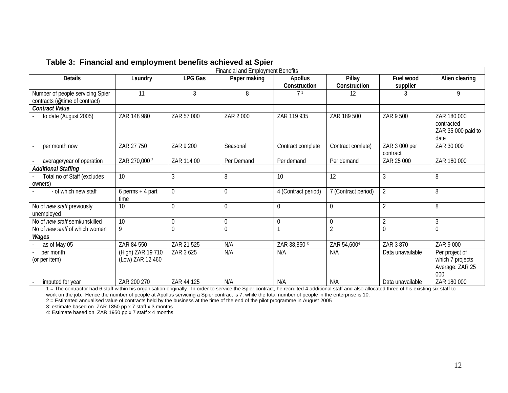|  | Table 3: Financial and employment benefits achieved at Spier |  |
|--|--------------------------------------------------------------|--|
|--|--------------------------------------------------------------|--|

|                                          |                            |                | <b>Financial and Employment Benefits</b> |                     |                     |                           |                                                         |
|------------------------------------------|----------------------------|----------------|------------------------------------------|---------------------|---------------------|---------------------------|---------------------------------------------------------|
| <b>Details</b>                           | Laundry                    | <b>LPG Gas</b> | Paper making                             | Apollus             | Pillay              | Fuel wood                 | Alien clearing                                          |
|                                          |                            |                |                                          | Construction        | Construction        | supplier                  |                                                         |
| Number of people servicing Spier         | 11                         | 3              | 8                                        | 71                  | 12                  |                           | 9                                                       |
| contracts (@time of contract)            |                            |                |                                          |                     |                     |                           |                                                         |
| <b>Contract Value</b>                    |                            |                |                                          |                     |                     |                           |                                                         |
| to date (August 2005)                    | ZAR 148 980                | ZAR 57 000     | ZAR 2 000                                | ZAR 119 935         | ZAR 189 500         | ZAR 9 500                 | ZAR 180,000<br>contracted<br>ZAR 35 000 paid to<br>date |
| per month now                            | ZAR 27 750                 | ZAR 9 200      | Seasonal                                 | Contract complete   | Contract comlete)   | ZAR 3 000 per<br>contract | ZAR 30 000                                              |
| average/year of operation                | ZAR 270,000 2              | ZAR 114 00     | Per Demand                               | Per demand          | Per demand          | ZAR 25 000                | ZAR 180 000                                             |
| <b>Additional Staffing</b>               |                            |                |                                          |                     |                     |                           |                                                         |
| Total no of Staff (excludes<br>owners)   | 10                         | 3              | 8                                        | 10                  | 12                  | 3                         | 8                                                       |
| - of which new staff                     | $6$ perms + 4 part<br>time | $\mathbf{0}$   | $\mathbf 0$                              | 4 (Contract period) | 7 (Contract period) | $\overline{2}$            | 8                                                       |
| No of new staff previously<br>unemployed | 10                         | $\mathbf 0$    | $\mathbf 0$                              | 0                   | $\mathbf 0$         | $\overline{2}$            | 8                                                       |
| No of new staff semi/unskilled           | 10                         | U              | $\boldsymbol{0}$                         |                     | $\mathbf 0$         | $\overline{2}$            | 3                                                       |
| No of new staff of which women           | 9                          | $\Omega$       | $\boldsymbol{0}$                         |                     | $\overline{2}$      | 0                         | $\mathbf 0$                                             |
| Wages                                    |                            |                |                                          |                     |                     |                           |                                                         |
| as of May 05                             | ZAR 84 550                 | ZAR 21 525     | N/A                                      | ZAR 38,850 3        | ZAR 54,6004         | ZAR 3 870                 | ZAR 9 000                                               |
| per month                                | (High) ZAR 19 710          | ZAR 3 625      | N/A                                      | N/A                 | N/A                 | Data unavailable          | Per project of                                          |
| (or per item)                            | (Low) ZAR 12 460           |                |                                          |                     |                     |                           | which 7 projects<br>Average: ZAR 25<br>000              |
| imputed for year                         | ZAR 200 270                | ZAR 44 125     | N/A                                      | N/A                 | N/A                 | Data unavailable          | ZAR 180 000                                             |

1 = The contractor had 6 staff within his organisation originally. In order to service the Spier contract, he recruited 4 additional staff and also allocated three of his existing six staff to work on the job. Hence the number of people at Apollus servicing a Spier contract is 7, while the total number of people in the enterprise is 10.

2 = Estimated annualised value of contracts held by the business at the time of the end of the pilot programme in August 2005

3: estimate based on ZAR 1850 pp x 7 staff x 3 months

4: Estimate based on ZAR 1950 pp x 7 staff x 4 months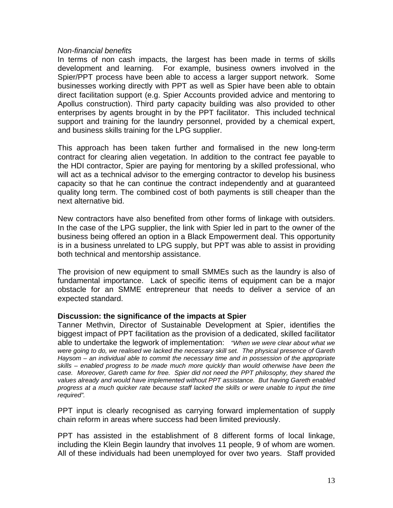#### <span id="page-12-0"></span>*Non-financial benefits*

In terms of non cash impacts, the largest has been made in terms of skills development and learning. For example, business owners involved in the Spier/PPT process have been able to access a larger support network. Some businesses working directly with PPT as well as Spier have been able to obtain direct facilitation support (e.g. Spier Accounts provided advice and mentoring to Apollus construction). Third party capacity building was also provided to other enterprises by agents brought in by the PPT facilitator. This included technical support and training for the laundry personnel, provided by a chemical expert, and business skills training for the LPG supplier.

This approach has been taken further and formalised in the new long-term contract for clearing alien vegetation. In addition to the contract fee payable to the HDI contractor, Spier are paying for mentoring by a skilled professional, who will act as a technical advisor to the emerging contractor to develop his business capacity so that he can continue the contract independently and at guaranteed quality long term. The combined cost of both payments is still cheaper than the next alternative bid.

New contractors have also benefited from other forms of linkage with outsiders. In the case of the LPG supplier, the link with Spier led in part to the owner of the business being offered an option in a Black Empowerment deal. This opportunity is in a business unrelated to LPG supply, but PPT was able to assist in providing both technical and mentorship assistance.

The provision of new equipment to small SMMEs such as the laundry is also of fundamental importance. Lack of specific items of equipment can be a major obstacle for an SMME entrepreneur that needs to deliver a service of an expected standard.

# **Discussion: the significance of the impacts at Spier**

Tanner Methvin, Director of Sustainable Development at Spier, identifies the biggest impact of PPT facilitation as the provision of a dedicated, skilled facilitator able to undertake the legwork of implementation: *"When we were clear about what we were going to do, we realised we lacked the necessary skill set. The physical presence of Gareth Haysom – an individual able to commit the necessary time and in possession of the appropriate skills – enabled progress to be made much more quickly than would otherwise have been the case. Moreover, Gareth came for free. Spier did not need the PPT philosophy, they shared the values already and would have implemented without PPT assistance. But having Gareth enabled progress at a much quicker rate because staff lacked the skills or were unable to input the time required".* 

PPT input is clearly recognised as carrying forward implementation of supply chain reform in areas where success had been limited previously.

PPT has assisted in the establishment of 8 different forms of local linkage, including the Klein Begin laundry that involves 11 people, 9 of whom are women. All of these individuals had been unemployed for over two years. Staff provided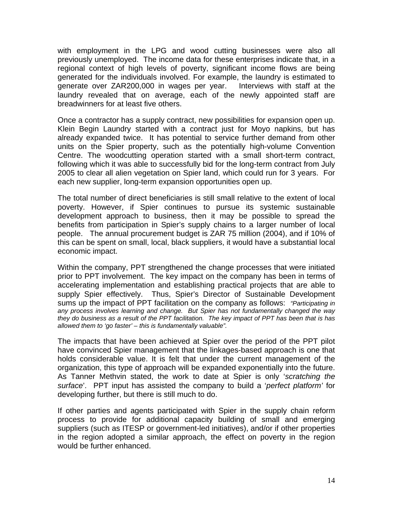with employment in the LPG and wood cutting businesses were also all previously unemployed. The income data for these enterprises indicate that, in a regional context of high levels of poverty, significant income flows are being generated for the individuals involved. For example, the laundry is estimated to generate over ZAR200,000 in wages per year. Interviews with staff at the laundry revealed that on average, each of the newly appointed staff are breadwinners for at least five others.

Once a contractor has a supply contract, new possibilities for expansion open up. Klein Begin Laundry started with a contract just for Moyo napkins, but has already expanded twice. It has potential to service further demand from other units on the Spier property, such as the potentially high-volume Convention Centre. The woodcutting operation started with a small short-term contract, following which it was able to successfully bid for the long-term contract from July 2005 to clear all alien vegetation on Spier land, which could run for 3 years. For each new supplier, long-term expansion opportunities open up.

The total number of direct beneficiaries is still small relative to the extent of local poverty. However, if Spier continues to pursue its systemic sustainable development approach to business, then it may be possible to spread the benefits from participation in Spier's supply chains to a larger number of local people. The annual procurement budget is ZAR 75 million (2004), and if 10% of this can be spent on small, local, black suppliers, it would have a substantial local economic impact.

Within the company, PPT strengthened the change processes that were initiated prior to PPT involvement. The key impact on the company has been in terms of accelerating implementation and establishing practical projects that are able to supply Spier effectively. Thus, Spier's Director of Sustainable Development sums up the impact of PPT facilitation on the company as follows: *"Participating in any process involves learning and change. But Spier has not fundamentally changed the way they do business as a result of the PPT facilitation. The key impact of PPT has been that is has allowed them to 'go faster' – this is fundamentally valuable".* 

The impacts that have been achieved at Spier over the period of the PPT pilot have convinced Spier management that the linkages-based approach is one that holds considerable value. It is felt that under the current management of the organization, this type of approach will be expanded exponentially into the future. As Tanner Methvin stated, the work to date at Spier is only '*scratching the surface*'. PPT input has assisted the company to build a '*perfect platform'* for developing further, but there is still much to do.

If other parties and agents participated with Spier in the supply chain reform process to provide for additional capacity building of small and emerging suppliers (such as ITESP or government-led initiatives), and/or if other properties in the region adopted a similar approach, the effect on poverty in the region would be further enhanced.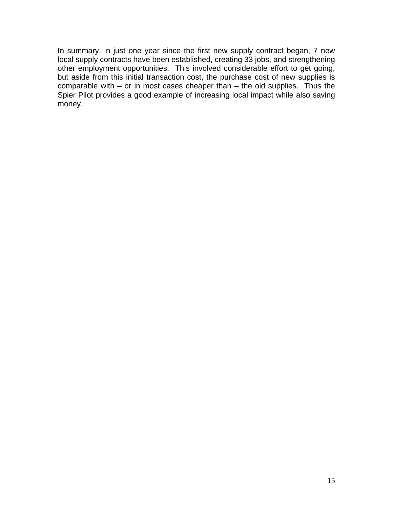In summary, in just one year since the first new supply contract began, 7 new local supply contracts have been established, creating 33 jobs, and strengthening other employment opportunities. This involved considerable effort to get going, but aside from this initial transaction cost, the purchase cost of new supplies is comparable with – or in most cases cheaper than – the old supplies. Thus the Spier Pilot provides a good example of increasing local impact while also saving money.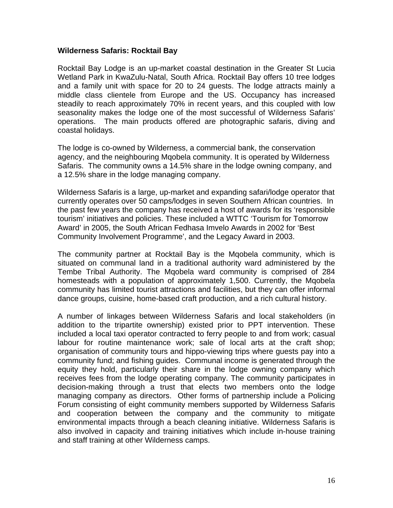#### <span id="page-15-0"></span>**Wilderness Safaris: Rocktail Bay**

Rocktail Bay Lodge is an up-market coastal destination in the Greater St Lucia Wetland Park in KwaZulu-Natal, South Africa. Rocktail Bay offers 10 tree lodges and a family unit with space for 20 to 24 guests. The lodge attracts mainly a middle class clientele from Europe and the US. Occupancy has increased steadily to reach approximately 70% in recent years, and this coupled with low seasonality makes the lodge one of the most successful of Wilderness Safaris' operations. The main products offered are photographic safaris, diving and coastal holidays.

The lodge is co-owned by Wilderness, a commercial bank, the conservation agency, and the neighbouring Mqobela community. It is operated by Wilderness Safaris. The community owns a 14.5% share in the lodge owning company, and a 12.5% share in the lodge managing company.

Wilderness Safaris is a large, up-market and expanding safari/lodge operator that currently operates over 50 camps/lodges in seven Southern African countries. In the past few years the company has received a host of awards for its 'responsible tourism' initiatives and policies. These included a WTTC 'Tourism for Tomorrow Award' in 2005, the South African Fedhasa Imvelo Awards in 2002 for 'Best Community Involvement Programme', and the Legacy Award in 2003.

The community partner at Rocktail Bay is the Mqobela community, which is situated on communal land in a traditional authority ward administered by the Tembe Tribal Authority. The Mqobela ward community is comprised of 284 homesteads with a population of approximately 1,500. Currently, the Mqobela community has limited tourist attractions and facilities, but they can offer informal dance groups, cuisine, home-based craft production, and a rich cultural history.

A number of linkages between Wilderness Safaris and local stakeholders (in addition to the tripartite ownership) existed prior to PPT intervention. These included a local taxi operator contracted to ferry people to and from work; casual labour for routine maintenance work; sale of local arts at the craft shop; organisation of community tours and hippo-viewing trips where guests pay into a community fund; and fishing guides. Communal income is generated through the equity they hold, particularly their share in the lodge owning company which receives fees from the lodge operating company. The community participates in decision-making through a trust that elects two members onto the lodge managing company as directors. Other forms of partnership include a Policing Forum consisting of eight community members supported by Wilderness Safaris and cooperation between the company and the community to mitigate environmental impacts through a beach cleaning initiative. Wilderness Safaris is also involved in capacity and training initiatives which include in-house training and staff training at other Wilderness camps.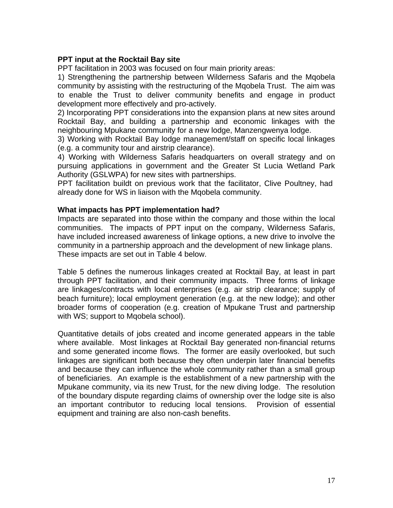# <span id="page-16-0"></span>**PPT input at the Rocktail Bay site**

PPT facilitation in 2003 was focused on four main priority areas:

1) Strengthening the partnership between Wilderness Safaris and the Mqobela community by assisting with the restructuring of the Mqobela Trust. The aim was to enable the Trust to deliver community benefits and engage in product development more effectively and pro-actively.

2) Incorporating PPT considerations into the expansion plans at new sites around Rocktail Bay, and building a partnership and economic linkages with the neighbouring Mpukane community for a new lodge, Manzengwenya lodge.

3) Working with Rocktail Bay lodge management/staff on specific local linkages (e.g. a community tour and airstrip clearance).

4) Working with Wilderness Safaris headquarters on overall strategy and on pursuing applications in government and the Greater St Lucia Wetland Park Authority (GSLWPA) for new sites with partnerships.

PPT facilitation buildt on previous work that the facilitator, Clive Poultney, had already done for WS in liaison with the Mqobela community.

#### **What impacts has PPT implementation had?**

Impacts are separated into those within the company and those within the local communities. The impacts of PPT input on the company, Wilderness Safaris, have included increased awareness of linkage options, a new drive to involve the community in a partnership approach and the development of new linkage plans. These impacts are set out in Table 4 below.

Table 5 defines the numerous linkages created at Rocktail Bay, at least in part through PPT facilitation, and their community impacts. Three forms of linkage are linkages/contracts with local enterprises (e.g. air strip clearance; supply of beach furniture); local employment generation (e.g. at the new lodge); and other broader forms of cooperation (e.g. creation of Mpukane Trust and partnership with WS; support to Mqobela school).

Quantitative details of jobs created and income generated appears in the table where available. Most linkages at Rocktail Bay generated non-financial returns and some generated income flows. The former are easily overlooked, but such linkages are significant both because they often underpin later financial benefits and because they can influence the whole community rather than a small group of beneficiaries. An example is the establishment of a new partnership with the Mpukane community, via its new Trust, for the new diving lodge. The resolution of the boundary dispute regarding claims of ownership over the lodge site is also an important contributor to reducing local tensions. Provision of essential equipment and training are also non-cash benefits.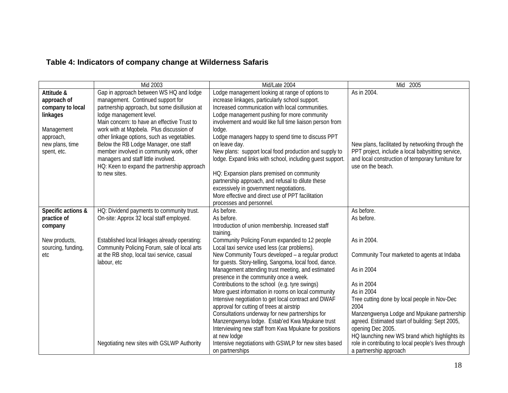# **Table 4: Indicators of company change at Wilderness Safaris**

|                                                                                                                        | Mid 2003                                                                                                                                                                                                                                                                                                                                                                                                                                                                                      | Mid/Late 2004                                                                                                                                                                                                                                                                                                                                                                                                                                                                                                                                                                                                                                                                                           | Mid 2005                                                                                                                                                                                                                                                                                                                             |
|------------------------------------------------------------------------------------------------------------------------|-----------------------------------------------------------------------------------------------------------------------------------------------------------------------------------------------------------------------------------------------------------------------------------------------------------------------------------------------------------------------------------------------------------------------------------------------------------------------------------------------|---------------------------------------------------------------------------------------------------------------------------------------------------------------------------------------------------------------------------------------------------------------------------------------------------------------------------------------------------------------------------------------------------------------------------------------------------------------------------------------------------------------------------------------------------------------------------------------------------------------------------------------------------------------------------------------------------------|--------------------------------------------------------------------------------------------------------------------------------------------------------------------------------------------------------------------------------------------------------------------------------------------------------------------------------------|
| Attitude &<br>approach of<br>company to local<br>linkages<br>Management<br>approach,<br>new plans, time<br>spent, etc. | Gap in approach between WS HQ and lodge<br>management. Continued support for<br>partnership approach, but some disillusion at<br>lodge management level.<br>Main concern: to have an effective Trust to<br>work with at Mqobela. Plus discussion of<br>other linkage options, such as vegetables.<br>Below the RB Lodge Manager, one staff<br>member involved in community work, other<br>managers and staff little involved.<br>HQ: Keen to expand the partnership approach<br>to new sites. | Lodge management looking at range of options to<br>increase linkages, particularly school support.<br>Increased communication with local communities.<br>Lodge management pushing for more community<br>involvement and would like full time liaison person from<br>lodge.<br>Lodge managers happy to spend time to discuss PPT<br>on leave day.<br>New plans: support local food production and supply to<br>lodge. Expand links with school, including guest support.<br>HQ: Expansion plans premised on community<br>partnership approach, and refusal to dilute these<br>excessively in government negotiations.<br>More effective and direct use of PPT facilitation<br>processes and personnel.   | As in 2004.<br>New plans, facilitated by networking through the<br>PPT project, include a local babysitting service,<br>and local construction of temporary furniture for<br>use on the beach.                                                                                                                                       |
| Specific actions &<br>practice of<br>company                                                                           | HQ: Dividend payments to community trust.<br>On-site: Approx 32 local staff employed.                                                                                                                                                                                                                                                                                                                                                                                                         | As before.<br>As before.<br>Introduction of union membership. Increased staff<br>training.                                                                                                                                                                                                                                                                                                                                                                                                                                                                                                                                                                                                              | As before.<br>As before.                                                                                                                                                                                                                                                                                                             |
| New products,<br>sourcing, funding,<br>etc                                                                             | Established local linkages already operating:<br>Community Policing Forum, sale of local arts<br>at the RB shop, local taxi service, casual<br>labour, etc                                                                                                                                                                                                                                                                                                                                    | Community Policing Forum expanded to 12 people<br>Local taxi service used less (car problems).<br>New Community Tours developed - a regular product<br>for guests. Story-telling, Sangoma, local food, dance.<br>Management attending trust meeting, and estimated<br>presence in the community once a week.<br>Contributions to the school (e.g. tyre swings)<br>More guest information in rooms on local community<br>Intensive negotiation to get local contract and DWAF<br>approval for cutting of trees at airstrip<br>Consultations underway for new partnerships for<br>Manzengwenya lodge. Estab'ed Kwa Mpukane trust<br>Interviewing new staff from Kwa Mpukane for positions<br>at new lodge | As in 2004.<br>Community Tour marketed to agents at Indaba<br>As in 2004<br>As in 2004<br>As in 2004<br>Tree cutting done by local people in Nov-Dec<br>2004<br>Manzengwenya Lodge and Mpukane partnership<br>agreed. Estimated start of building: Sept 2005,<br>opening Dec 2005.<br>HQ launching new WS brand which highlights its |
|                                                                                                                        | Negotiating new sites with GSLWP Authority                                                                                                                                                                                                                                                                                                                                                                                                                                                    | Intensive negotiations with GSWLP for new sites based<br>on partnerships                                                                                                                                                                                                                                                                                                                                                                                                                                                                                                                                                                                                                                | role in contributing to local people's lives through<br>a partnership approach                                                                                                                                                                                                                                                       |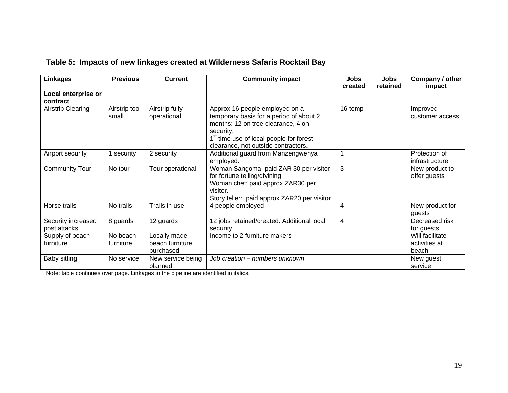|  |  |  | Table 5: Impacts of new linkages created at Wilderness Safaris Rocktail Bay |  |  |
|--|--|--|-----------------------------------------------------------------------------|--|--|
|--|--|--|-----------------------------------------------------------------------------|--|--|

| <b>Linkages</b>                    | <b>Previous</b>       | <b>Current</b>                               | <b>Community impact</b>                                                                                                                                                                                                    | <b>Jobs</b><br>created | <b>Jobs</b><br>retained | Company / other<br>impact                 |
|------------------------------------|-----------------------|----------------------------------------------|----------------------------------------------------------------------------------------------------------------------------------------------------------------------------------------------------------------------------|------------------------|-------------------------|-------------------------------------------|
| Local enterprise or<br>contract    |                       |                                              |                                                                                                                                                                                                                            |                        |                         |                                           |
| <b>Airstrip Clearing</b>           | Airstrip too<br>small | Airstrip fully<br>operational                | Approx 16 people employed on a<br>temporary basis for a period of about 2<br>months: 12 on tree clearance, 4 on<br>security.<br>1 <sup>st</sup> time use of local people for forest<br>clearance, not outside contractors. | 16 temp                |                         | Improved<br>customer access               |
| Airport security                   | security              | 2 security                                   | Additional guard from Manzengwenya<br>employed.                                                                                                                                                                            |                        |                         | Protection of<br>infrastructure           |
| <b>Community Tour</b>              | No tour               | Tour operational                             | Woman Sangoma, paid ZAR 30 per visitor<br>for fortune telling/divining.<br>Woman chef: paid approx ZAR30 per<br>visitor.<br>Story teller: paid approx ZAR20 per visitor.                                                   | 3                      |                         | New product to<br>offer guests            |
| Horse trails                       | No trails             | Trails in use                                | 4 people employed                                                                                                                                                                                                          | 4                      |                         | New product for<br>guests                 |
| Security increased<br>post attacks | 8 guards              | 12 guards                                    | 12 jobs retained/created. Additional local<br>security                                                                                                                                                                     | 4                      |                         | Decreased risk<br>for guests              |
| Supply of beach<br>furniture       | No beach<br>furniture | Locally made<br>beach furniture<br>purchased | Income to 2 furniture makers                                                                                                                                                                                               |                        |                         | Will facilitate<br>activities at<br>beach |
| Baby sitting                       | No service            | New service being<br>planned                 | Job creation - numbers unknown                                                                                                                                                                                             |                        |                         | New guest<br>service                      |

Note: table continues over page. Linkages in the pipeline are identified in italics.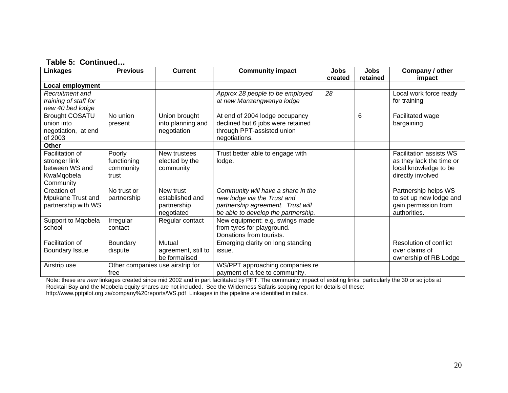# **Table 5: Continued…**

| <b>Linkages</b>                                                               | <b>Previous</b>                             | <b>Current</b>                                            | <b>Community impact</b>                                                                                                                       | <b>Jobs</b><br>created | <b>Jobs</b><br>retained | Company / other<br>impact                                                                                |
|-------------------------------------------------------------------------------|---------------------------------------------|-----------------------------------------------------------|-----------------------------------------------------------------------------------------------------------------------------------------------|------------------------|-------------------------|----------------------------------------------------------------------------------------------------------|
| Local employment                                                              |                                             |                                                           |                                                                                                                                               |                        |                         |                                                                                                          |
| Recruitment and<br>training of staff for<br>new 40 bed lodge                  |                                             |                                                           | Approx 28 people to be employed<br>at new Manzengwenya lodge                                                                                  | 28                     |                         | Local work force ready<br>for training                                                                   |
| <b>Brought COSATU</b><br>union into<br>negotiation, at end<br>of 2003         | No union<br>present                         | Union brought<br>into planning and<br>negotiation         | At end of 2004 lodge occupancy<br>declined but 6 jobs were retained<br>through PPT-assisted union<br>negotiations.                            |                        | 6                       | Facilitated wage<br>bargaining                                                                           |
| Other                                                                         |                                             |                                                           |                                                                                                                                               |                        |                         |                                                                                                          |
| Facilitation of<br>stronger link<br>between WS and<br>KwaMqobela<br>Community | Poorly<br>functioning<br>community<br>trust | New trustees<br>elected by the<br>community               | Trust better able to engage with<br>lodge.                                                                                                    |                        |                         | <b>Facilitation assists WS</b><br>as they lack the time or<br>local knowledge to be<br>directly involved |
| Creation of<br>Mpukane Trust and<br>partnership with WS                       | No trust or<br>partnership                  | New trust<br>established and<br>partnership<br>negotiated | Community will have a share in the<br>new lodge via the Trust and<br>partnership agreement. Trust will<br>be able to develop the partnership. |                        |                         | Partnership helps WS<br>to set up new lodge and<br>gain permission from<br>authorities.                  |
| Support to Mqobela<br>school                                                  | Irregular<br>contact                        | Regular contact                                           | New equipment: e.g. swings made<br>from tyres for playground.<br>Donations from tourists.                                                     |                        |                         |                                                                                                          |
| Facilitation of<br><b>Boundary Issue</b>                                      | Boundary<br>dispute                         | Mutual<br>agreement, still to<br>be formalised            | Emerging clarity on long standing<br>issue.                                                                                                   |                        |                         | Resolution of conflict<br>over claims of<br>ownership of RB Lodge                                        |
| Airstrip use                                                                  | free                                        | Other companies use airstrip for                          | WS/PPT approaching companies re<br>payment of a fee to community.                                                                             |                        |                         |                                                                                                          |

Note: these are *new* linkages created since mid 2002 and in part facilitated by PPT. The community impact of existing links, particularly the 30 or so jobs at Rocktail Bay and the Mqobela equity shares are not included. See the Wilderness Safaris scoping report for details of these: http://www.pptpilot.org.za/company%20reports/WS.pdf Linkages in the pipeline are identified in italics.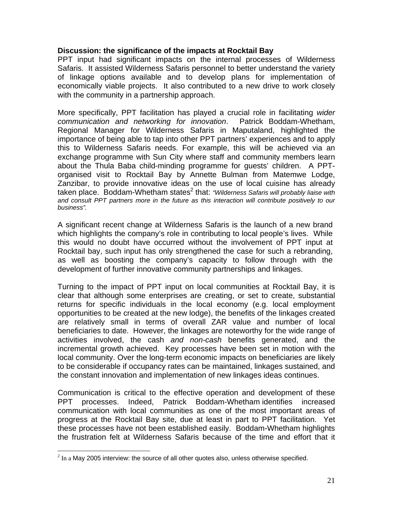# <span id="page-20-0"></span>**Discussion: the significance of the impacts at Rocktail Bay**

PPT input had significant impacts on the internal processes of Wilderness Safaris. It assisted Wilderness Safaris personnel to better understand the variety of linkage options available and to develop plans for implementation of economically viable projects. It also contributed to a new drive to work closely with the community in a partnership approach.

More specifically, PPT facilitation has played a crucial role in facilitating *wider communication and networking for innovation*. Patrick Boddam-Whetham, Regional Manager for Wilderness Safaris in Maputaland, highlighted the importance of being able to tap into other PPT partners' experiences and to apply this to Wilderness Safaris needs. For example, this will be achieved via an exchange programme with Sun City where staff and community members learn about the Thula Baba child-minding programme for guests' children. A PPTorganised visit to Rocktail Bay by Annette Bulman from Matemwe Lodge, Zanzibar, to provide innovative ideas on the use of local cuisine has already taken place. Boddam-Whetham states<sup>[2](#page-20-1)</sup> that: *"Wilderness Safaris will probably liaise with and consult PPT partners more in the future as this interaction will contribute positively to our business".* 

A significant recent change at Wilderness Safaris is the launch of a new brand which highlights the company's role in contributing to local people's lives. While this would no doubt have occurred without the involvement of PPT input at Rocktail bay, such input has only strengthened the case for such a rebranding, as well as boosting the company's capacity to follow through with the development of further innovative community partnerships and linkages.

Turning to the impact of PPT input on local communities at Rocktail Bay, it is clear that although some enterprises are creating, or set to create, substantial returns for specific individuals in the local economy (e.g. local employment opportunities to be created at the new lodge), the benefits of the linkages created are relatively small in terms of overall ZAR value and number of local beneficiaries to date. However, the linkages are noteworthy for the wide range of activities involved, the cash *and non-cash* benefits generated, and the incremental growth achieved. Key processes have been set in motion with the local community. Over the long-term economic impacts on beneficiaries are likely to be considerable if occupancy rates can be maintained, linkages sustained, and the constant innovation and implementation of new linkages ideas continues.

Communication is critical to the effective operation and development of these PPT processes. Indeed, Patrick Boddam-Whetham identifies increased communication with local communities as one of the most important areas of progress at the Rocktail Bay site, due at least in part to PPT facilitation. Yet these processes have not been established easily. Boddam-Whetham highlights the frustration felt at Wilderness Safaris because of the time and effort that it

 $\overline{a}$ 

<span id="page-20-1"></span> $2$  In a May 2005 interview: the source of all other quotes also, unless otherwise specified.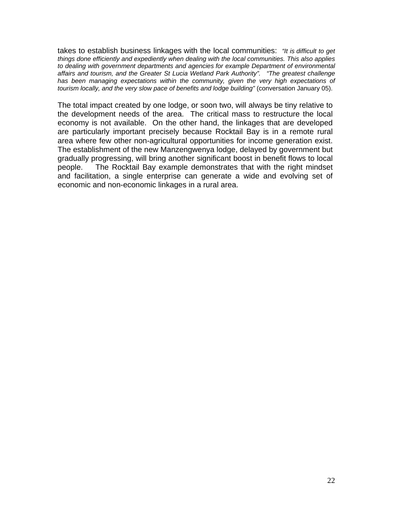takes to establish business linkages with the local communities: *"It is difficult to get things done efficiently and expediently when dealing with the local communities. This also applies to dealing with government departments and agencies for example Department of environmental affairs and tourism, and the Greater St Lucia Wetland Park Authority". "The greatest challenge has been managing expectations within the community, given the very high expectations of tourism locally, and the very slow pace of benefits and lodge building"* (conversation January 05).

The total impact created by one lodge, or soon two, will always be tiny relative to the development needs of the area. The critical mass to restructure the local economy is not available. On the other hand, the linkages that are developed are particularly important precisely because Rocktail Bay is in a remote rural area where few other non-agricultural opportunities for income generation exist. The establishment of the new Manzengwenya lodge, delayed by government but gradually progressing, will bring another significant boost in benefit flows to local people. The Rocktail Bay example demonstrates that with the right mindset and facilitation, a single enterprise can generate a wide and evolving set of economic and non-economic linkages in a rural area.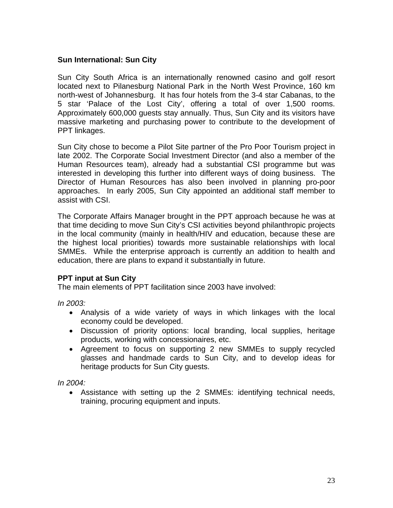# <span id="page-22-0"></span>**Sun International: Sun City**

Sun City South Africa is an internationally renowned casino and golf resort located next to Pilanesburg National Park in the North West Province, 160 km north-west of Johannesburg. It has four hotels from the 3-4 star Cabanas, to the 5 star 'Palace of the Lost City', offering a total of over 1,500 rooms. Approximately 600,000 guests stay annually. Thus, Sun City and its visitors have massive marketing and purchasing power to contribute to the development of PPT linkages.

Sun City chose to become a Pilot Site partner of the Pro Poor Tourism project in late 2002. The Corporate Social Investment Director (and also a member of the Human Resources team), already had a substantial CSI programme but was interested in developing this further into different ways of doing business. The Director of Human Resources has also been involved in planning pro-poor approaches. In early 2005, Sun City appointed an additional staff member to assist with CSI.

The Corporate Affairs Manager brought in the PPT approach because he was at that time deciding to move Sun City's CSI activities beyond philanthropic projects in the local community (mainly in health/HIV and education, because these are the highest local priorities) towards more sustainable relationships with local SMMEs. While the enterprise approach is currently an addition to health and education, there are plans to expand it substantially in future.

# **PPT input at Sun City**

The main elements of PPT facilitation since 2003 have involved:

*In 2003:* 

- Analysis of a wide variety of ways in which linkages with the local economy could be developed.
- Discussion of priority options: local branding, local supplies, heritage products, working with concessionaires, etc.
- Agreement to focus on supporting 2 new SMMEs to supply recycled glasses and handmade cards to Sun City, and to develop ideas for heritage products for Sun City guests.

*In 2004:* 

• Assistance with setting up the 2 SMMEs: identifying technical needs, training, procuring equipment and inputs.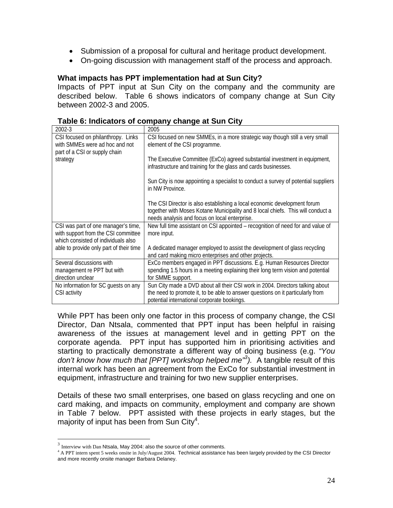- <span id="page-23-0"></span>• Submission of a proposal for cultural and heritage product development.
- On-going discussion with management staff of the process and approach.

#### **What impacts has PPT implementation had at Sun City?**

Impacts of PPT input at Sun City on the company and the community are described below. Table 6 shows indicators of company change at Sun City between 2002-3 and 2005.

| 2002-3                                                                                                            | 2005                                                                                                                                                                                                           |
|-------------------------------------------------------------------------------------------------------------------|----------------------------------------------------------------------------------------------------------------------------------------------------------------------------------------------------------------|
| CSI focused on philanthropy. Links<br>with SMMEs were ad hoc and not<br>part of a CSI or supply chain             | CSI focused on new SMMEs, in a more strategic way though still a very small<br>element of the CSI programme.                                                                                                   |
| strategy                                                                                                          | The Executive Committee (ExCo) agreed substantial investment in equipment,<br>infrastructure and training for the glass and cards businesses.                                                                  |
|                                                                                                                   | Sun City is now appointing a specialist to conduct a survey of potential suppliers<br>in NW Province.                                                                                                          |
|                                                                                                                   | The CSI Director is also establishing a local economic development forum<br>together with Moses Kotane Municipality and 8 local chiefs. This will conduct a<br>needs analysis and focus on local enterprise.   |
| CSI was part of one manager's time,<br>with support from the CSI committee<br>which consisted of individuals also | New full time assistant on CSI appointed – recognition of need for and value of<br>more input.                                                                                                                 |
| able to provide only part of their time                                                                           | A dedicated manager employed to assist the development of glass recycling<br>and card making micro enterprises and other projects.                                                                             |
| Several discussions with<br>management re PPT but with<br>direction unclear                                       | ExCo members engaged in PPT discussions. E.g. Human Resources Director<br>spending 1.5 hours in a meeting explaining their long term vision and potential<br>for SMME support.                                 |
| No information for SC guests on any<br>CSI activity                                                               | Sun City made a DVD about all their CSI work in 2004. Directors talking about<br>the need to promote it, to be able to answer questions on it particularly from<br>potential international corporate bookings. |

**Table 6: Indicators of company change at Sun City**

While PPT has been only one factor in this process of company change, the CSI Director, Dan Ntsala, commented that PPT input has been helpful in raising awareness of the issues at management level and in getting PPT on the corporate agenda. PPT input has supported him in prioritising activities and starting to practically demonstrate a different way of doing business (e.g. *"You don't know how much that [PPT] workshop helped me"[3](#page-23-1) ).* A tangible result of this internal work has been an agreement from the ExCo for substantial investment in equipment, infrastructure and training for two new supplier enterprises.

Details of these two small enterprises, one based on glass recycling and one on card making, and impacts on community, employment and company are shown in Table 7 below. PPT assisted with these projects in early stages, but the majority of input has been from Sun City<sup>[4](#page-23-2)</sup>.

 $\overline{a}$ 

<span id="page-23-1"></span> $3$  Interview with Dan Ntsala, May 2004: also the source of other comments.

<span id="page-23-2"></span><sup>4</sup> A PPT intern spent 5 weeks onsite in July/August 2004. Technical assistance has been largely provided by the CSI Director and more recently onsite manager Barbara Delaney.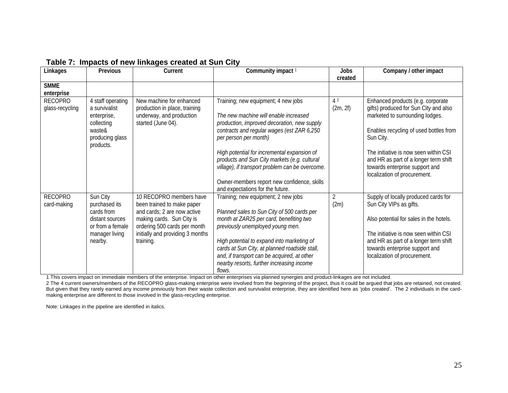| Linkages                          | Previous                                                                                                    | Current                                                                                                                                                                                            | Community impact <sup>1</sup>                                                                                                                                                                                                                                                                                                                                                                                                           | Jobs<br>created            | Company / other impact                                                                                                                                                                                                                                                                                                   |
|-----------------------------------|-------------------------------------------------------------------------------------------------------------|----------------------------------------------------------------------------------------------------------------------------------------------------------------------------------------------------|-----------------------------------------------------------------------------------------------------------------------------------------------------------------------------------------------------------------------------------------------------------------------------------------------------------------------------------------------------------------------------------------------------------------------------------------|----------------------------|--------------------------------------------------------------------------------------------------------------------------------------------------------------------------------------------------------------------------------------------------------------------------------------------------------------------------|
| <b>SMME</b><br>enterprise         |                                                                                                             |                                                                                                                                                                                                    |                                                                                                                                                                                                                                                                                                                                                                                                                                         |                            |                                                                                                                                                                                                                                                                                                                          |
| <b>RECOPRO</b><br>glass-recycling | 4 staff operating<br>a survivalist<br>enterprise,<br>collecting<br>waste&<br>producing glass<br>products.   | New machine for enhanced<br>production in place, training<br>underway, and production<br>started (June 04).                                                                                        | Training; new equipment; 4 new jobs<br>The new machine will enable increased<br>production, improved decoration, new supply<br>contracts and regular wages (est ZAR 6,250<br>per person per month)<br>High potential for incremental expansion of<br>products and Sun City markets (e.g. cultural<br>village), if transport problem can be overcome.<br>Owner-members report new confidence, skills<br>and expectations for the future. | 4 <sup>2</sup><br>(2m, 2f) | Enhanced products (e.g. corporate<br>gifts) produced for Sun City and also<br>marketed to surrounding lodges.<br>Enables recycling of used bottles from<br>Sun City.<br>The initiative is now seen within CSI<br>and HR as part of a longer term shift<br>towards enterprise support and<br>localization of procurement. |
| <b>RECOPRO</b><br>card-making     | Sun City<br>purchased its<br>cards from<br>distant sources<br>or from a female<br>manager living<br>nearby. | 10 RECOPRO members have<br>been trained to make paper<br>and cards; 2 are now active<br>making cards. Sun City is<br>ordering 500 cards per month<br>initially and providing 3 months<br>training. | Training; new equipment; 2 new jobs<br>Planned sales to Sun City of 500 cards per<br>month at ZAR25 per card, benefiting two<br>previously unemployed young men.<br>High potential to expand into marketing of<br>cards at Sun City, at planned roadside stall,<br>and, if transport can be acquired, at other<br>nearby resorts, further increasing income<br>flows.                                                                   | 2<br>(2m)                  | Supply of locally produced cards for<br>Sun City VIPs as gifts.<br>Also potential for sales in the hotels.<br>The initiative is now seen within CSI<br>and HR as part of a longer term shift<br>towards enterprise support and<br>localization of procurement.                                                           |

#### **Table 7: Impacts of new linkages created at Sun City**

1 This covers impact on immediate members of the enterprise. Impact on other enterprises via planned synergies and product-linkages are not included.

2 The 4 current owners/members of the RECOPRO glass-making enterprise were involved from the beginning of the project, thus it could be argued that jobs are retained, not created. But given that they rarely earned any income previously from their waste collection and survivalist enterprise, they are identified here as 'jobs created'. The 2 individuals in the cardmaking enterprise are different to those involved in the glass-recycling enterprise.

Note: Linkages in the pipeline are identified in italics.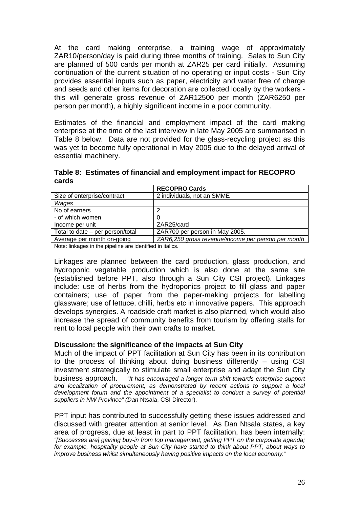<span id="page-25-0"></span>At the card making enterprise, a training wage of approximately ZAR10/person/day is paid during three months of training. Sales to Sun City are planned of 500 cards per month at ZAR25 per card initially. Assuming continuation of the current situation of no operating or input costs - Sun City provides essential inputs such as paper, electricity and water free of charge and seeds and other items for decoration are collected locally by the workers this will generate gross revenue of ZAR12500 per month (ZAR6250 per person per month), a highly significant income in a poor community.

Estimates of the financial and employment impact of the card making enterprise at the time of the last interview in late May 2005 are summarised in Table 8 below. Data are not provided for the glass-recycling project as this was yet to become fully operational in May 2005 due to the delayed arrival of essential machinery.

**Table 8: Estimates of financial and employment impact for RECOPRO cards**

|                                  | <b>RECOPRO Cards</b>                               |  |  |  |
|----------------------------------|----------------------------------------------------|--|--|--|
| Size of enterprise/contract      | 2 individuals, not an SMME                         |  |  |  |
| Wages                            |                                                    |  |  |  |
| No of earners                    |                                                    |  |  |  |
| - of which women                 |                                                    |  |  |  |
| Income per unit                  | ZAR25/card                                         |  |  |  |
| Total to date – per person/total | ZAR700 per person in May 2005.                     |  |  |  |
| Average per month on-going       | ZAR6,250 gross revenue/income per person per month |  |  |  |
|                                  |                                                    |  |  |  |

Note: linkages in the pipeline are identified in italics.

Linkages are planned between the card production, glass production, and hydroponic vegetable production which is also done at the same site (established before PPT, also through a Sun City CSI project). Linkages include: use of herbs from the hydroponics project to fill glass and paper containers; use of paper from the paper-making projects for labelling glassware; use of lettuce, chilli, herbs etc in innovative papers. This approach develops synergies. A roadside craft market is also planned, which would also increase the spread of community benefits from tourism by offering stalls for rent to local people with their own crafts to market.

#### **Discussion: the significance of the impacts at Sun City**

Much of the impact of PPT facilitation at Sun City has been in its contribution to the process of thinking about doing business differently – using CSI investment strategically to stimulate small enterprise and adapt the Sun City business approach. *"It has encouraged a longer term shift towards enterprise support and localization of procurement, as demonstrated by recent actions to support a local development forum and the appointment of a specialist to conduct a survey of potential suppliers in NW Province" (Dan* Ntsala, CSI Director).

PPT input has contributed to successfully getting these issues addressed and discussed with greater attention at senior level. As Dan Ntsala states, a key area of progress, due at least in part to PPT facilitation, has been internally: *"[Successes are] gaining buy-in from top management, getting PPT on the corporate agenda; for example, hospitality people at Sun City have started to think about PPT, about ways to improve business whilst simultaneously having positive impacts on the local economy."*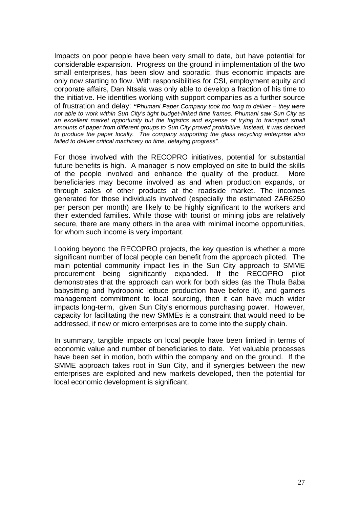Impacts on poor people have been very small to date, but have potential for considerable expansion. Progress on the ground in implementation of the two small enterprises, has been slow and sporadic, thus economic impacts are only now starting to flow. With responsibilities for CSI, employment equity and corporate affairs, Dan Ntsala was only able to develop a fraction of his time to the initiative. He identifies working with support companies as a further source of frustration and delay: *"Phumani Paper Company took too long to deliver – they were not able to work within Sun City's tight budget-linked time frames. Phumani saw Sun City as an excellent market opportunity but the logistics and expense of trying to transport small amounts of paper from different groups to Sun City proved prohibitive. Instead, it was decided to produce the paper locally. The company supporting the glass recycling enterprise also failed to deliver critical machinery on time, delaying progress".*

For those involved with the RECOPRO initiatives, potential for substantial future benefits is high. A manager is now employed on site to build the skills of the people involved and enhance the quality of the product. More beneficiaries may become involved as and when production expands, or through sales of other products at the roadside market. The incomes generated for those individuals involved (especially the estimated ZAR6250 per person per month) are likely to be highly significant to the workers and their extended families. While those with tourist or mining jobs are relatively secure, there are many others in the area with minimal income opportunities, for whom such income is very important.

Looking beyond the RECOPRO projects, the key question is whether a more significant number of local people can benefit from the approach piloted. The main potential community impact lies in the Sun City approach to SMME procurement being significantly expanded. If the RECOPRO pilot demonstrates that the approach can work for both sides (as the Thula Baba babysitting and hydroponic lettuce production have before it), and garners management commitment to local sourcing, then it can have much wider impacts long-term, given Sun City's enormous purchasing power. However, capacity for facilitating the new SMMEs is a constraint that would need to be addressed, if new or micro enterprises are to come into the supply chain.

In summary, tangible impacts on local people have been limited in terms of economic value and number of beneficiaries to date. Yet valuable processes have been set in motion, both within the company and on the ground. If the SMME approach takes root in Sun City, and if synergies between the new enterprises are exploited and new markets developed, then the potential for local economic development is significant.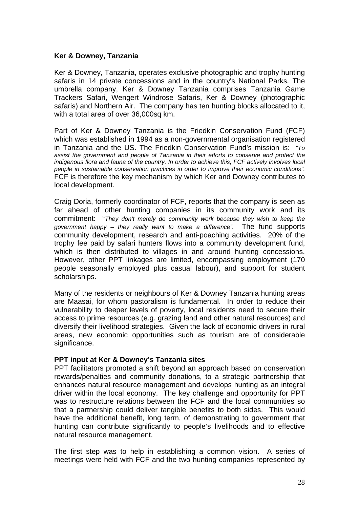#### <span id="page-27-0"></span>**Ker & Downey, Tanzania**

Ker & Downey, Tanzania, operates exclusive photographic and trophy hunting safaris in 14 private concessions and in the country's National Parks. The umbrella company, Ker & Downey Tanzania comprises [Tanzania Game](http://tgts.com/)  [Trackers Safari,](http://tgts.com/) Wengert Windrose Safaris, Ker & Downey (photographic safaris) and Northern Air. The company has ten hunting blocks allocated to it, with a total area of over 36,000sq km.

Part of Ker & Downey Tanzania is the [Friedkin Conservation Fund](http://tgts.com/fcf/friedkin.html) (FCF) which was established in 1994 as a non-governmental organisation registered in Tanzania and the US. The Friedkin Conservation Fund's mission is: *"To assist the government and people of Tanzania in their efforts to conserve and protect the indigenous flora and fauna of the country. In order to achieve this, FCF actively involves local people in sustainable conservation practices in order to improve their economic conditions".* FCF is therefore the key mechanism by which Ker and Downey contributes to local development.

Craig Doria, formerly coordinator of FCF, reports that the company is seen as far ahead of other hunting companies in its community work and its commitment: "*They don't merely do community work because they wish to keep the government happy – they really want to make a difference".* The fund supports community development, research and anti-poaching activities. 20% of the trophy fee paid by safari hunters flows into a community development fund, which is then distributed to villages in and around hunting concessions. However, other PPT linkages are limited, encompassing employment (170 people seasonally employed plus casual labour), and support for student scholarships.

Many of the residents or neighbours of Ker & Downey Tanzania hunting areas are Maasai, for whom pastoralism is fundamental. In order to reduce their vulnerability to deeper levels of poverty, local residents need to secure their access to prime resources (e.g. grazing land and other natural resources) and diversify their livelihood strategies. Given the lack of economic drivers in rural areas, new economic opportunities such as tourism are of considerable significance.

# **PPT input at Ker & Downey's Tanzania sites**

PPT facilitators promoted a shift beyond an approach based on conservation rewards/penalties and community donations, to a strategic partnership that enhances natural resource management and develops hunting as an integral driver within the local economy. The key challenge and opportunity for PPT was to restructure relations between the FCF and the local communities so that a partnership could deliver tangible benefits to both sides. This would have the additional benefit, long term, of demonstrating to government that hunting can contribute significantly to people's livelihoods and to effective natural resource management.

The first step was to help in establishing a common vision. A series of meetings were held with FCF and the two hunting companies represented by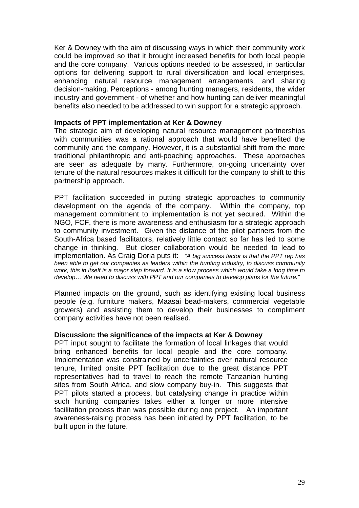<span id="page-28-0"></span>Ker & Downey with the aim of discussing ways in which their community work could be improved so that it brought increased benefits for both local people and the core company. Various options needed to be assessed, in particular options for delivering support to rural diversification and local enterprises, enhancing natural resource management arrangements, and sharing decision-making. Perceptions - among hunting managers, residents, the wider industry and government - of whether and how hunting can deliver meaningful benefits also needed to be addressed to win support for a strategic approach.

#### **Impacts of PPT implementation at Ker & Downey**

The strategic aim of developing natural resource management partnerships with communities was a rational approach that would have benefited the community and the company. However, it is a substantial shift from the more traditional philanthropic and anti-poaching approaches. These approaches are seen as adequate by many. Furthermore, on-going uncertainty over tenure of the natural resources makes it difficult for the company to shift to this partnership approach.

PPT facilitation succeeded in putting strategic approaches to community development on the agenda of the company. Within the company, top management commitment to implementation is not yet secured. Within the NGO, FCF, there is more awareness and enthusiasm for a strategic approach to community investment. Given the distance of the pilot partners from the South-Africa based facilitators, relatively little contact so far has led to some change in thinking. But closer collaboration would be needed to lead to implementation. As Craig Doria puts it: *"A big success factor is that the PPT rep has been able to get our companies as leaders within the hunting industry, to discuss community work, this in itself is a major step forward. It is a slow process which would take a long time to develop… We need to discuss with PPT and our companies to develop plans for the future."*

Planned impacts on the ground, such as identifying existing local business people (e.g. furniture makers, Maasai bead-makers, commercial vegetable growers) and assisting them to develop their businesses to compliment company activities have not been realised.

#### **Discussion: the significance of the impacts at Ker & Downey**

PPT input sought to facilitate the formation of local linkages that would bring enhanced benefits for local people and the core company. Implementation was constrained by uncertainties over natural resource tenure, limited onsite PPT facilitation due to the great distance PPT representatives had to travel to reach the remote Tanzanian hunting sites from South Africa, and slow company buy-in. This suggests that PPT pilots started a process, but catalysing change in practice within such hunting companies takes either a longer or more intensive facilitation process than was possible during one project. An important awareness-raising process has been initiated by PPT facilitation, to be built upon in the future.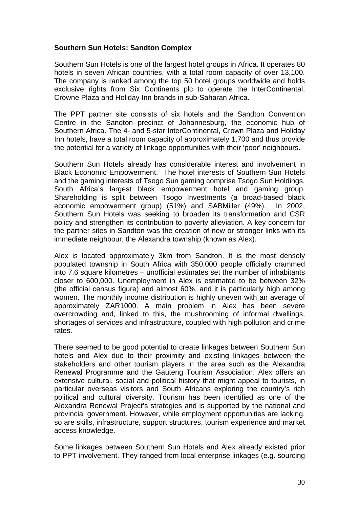# <span id="page-29-0"></span>**Southern Sun Hotels: Sandton Complex**

[Southern Sun H](http://www.southernsun.com/)otels is one of the largest hotel groups in Africa. It operates 80 hotels in seven African countries, with a total room capacity of over 13,100. The company is ranked among the top 50 hotel groups worldwide and holds exclusive rights from Six Continents plc to operate the InterContinental, Crowne Plaza and Holiday Inn brands in sub-Saharan Africa.

The PPT partner site consists of six hotels and the Sandton Convention Centre in the Sandton precinct of Johannesburg, the economic hub of Southern Africa. The 4- and 5-star InterContinental, Crown Plaza and Holiday Inn hotels, have a total room capacity of approximately 1,700 and thus provide the potential for a variety of linkage opportunities with their 'poor' neighbours.

Southern Sun Hotels already has considerable interest and involvement in Black Economic Empowerment. The hotel interests of Southern Sun Hotels and the gaming interests of Tsogo Sun gaming comprise Tsogo Sun Holdings, South Africa's largest black empowerment hotel and gaming group. Shareholding is split between Tsogo Investments (a broad-based black economic empowerment group) (51%) and SABMiller (49%). In 2002, Southern Sun Hotels was seeking to broaden its transformation and [CSR](http://www.southernsun.com/Sunrise/Corporate_Info/Files/CorporateReport2002.pdf)  [policy](http://www.southernsun.com/Sunrise/Corporate_Info/Files/CorporateReport2002.pdf) and strengthen its contribution to poverty alleviation. A key concern for the partner sites in Sandton was the creation of new or stronger links with its immediate neighbour, the [Alexandra township \(](http://www.pptpilot.org.za/Alexandra_Township.pdf)known as Alex).

Alex is located approximately 3km from Sandton. It is the most densely populated township in South Africa with 350,000 people officially crammed into 7.6 square kilometres – unofficial estimates set the number of inhabitants closer to 600,000. Unemployment in Alex is estimated to be between 32% (the official census figure) and almost 60%, and it is particularly high among women. The monthly income distribution is highly uneven with an average of approximately ZAR1000. A main problem in Alex has been severe overcrowding and, linked to this, the mushrooming of informal dwellings, shortages of services and infrastructure, coupled with high pollution and crime rates.

There seemed to be good potential to create linkages between Southern Sun hotels and Alex due to their proximity and existing linkages between the stakeholders and other tourism players in the area such as the Alexandra Renewal Programme and the [Gauteng Tourism Association](http://www.gauteng.net/). Alex offers an extensive cultural, social and political history that might appeal to tourists, in particular overseas visitors and South Africans exploring the country's rich political and cultural diversity. Tourism has been identified as one of the [Alexandra Renewal Project's](http://www.alexandra.co.za/) strategies and is supported by the national and provincial government. However, while employment opportunities are lacking, so are skills, infrastructure, support structures, tourism experience and market access knowledge.

Some linkages between Southern Sun Hotels and Alex already existed prior to PPT involvement. They ranged from local enterprise linkages (e.g. sourcing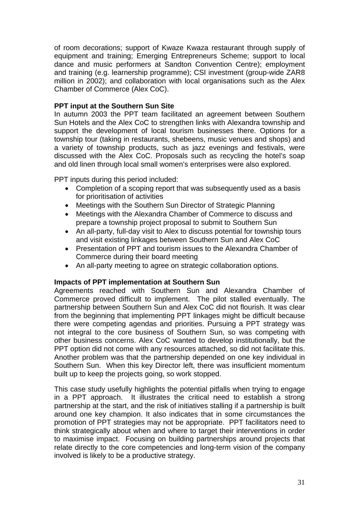<span id="page-30-0"></span>of room decorations; support of Kwaze Kwaza restaurant through supply of equipment and training; Emerging Entrepreneurs Scheme; support to local dance and music performers at Sandton Convention Centre); employment and training (e.g. learnership programme); CSI investment (group-wide ZAR8 million in 2002); and collaboration with local organisations such as the Alex Chamber of Commerce (Alex CoC).

# **PPT input at the Southern Sun Site**

In autumn 2003 the PPT team facilitated an agreement between Southern Sun Hotels and the Alex CoC to strengthen links with Alexandra township and support the development of local tourism businesses there. Options for a township tour (taking in restaurants, shebeens, music venues and shops) and a variety of township products, such as jazz evenings and festivals, were discussed with the Alex CoC. Proposals such as recycling the hotel's soap and old linen through local small women's enterprises were also explored.

PPT inputs during this period included:

- Completion of a scoping report that was subsequently used as a basis for prioritisation of activities
- Meetings with the Southern Sun Director of Strategic Planning
- Meetings with the Alexandra Chamber of Commerce to discuss and prepare a township project proposal to submit to Southern Sun
- An all-party, full-day visit to Alex to discuss potential for township tours and visit existing linkages between Southern Sun and Alex CoC
- Presentation of PPT and tourism issues to the Alexandra Chamber of Commerce during their board meeting
- An all-party meeting to agree on strategic collaboration options.

# **Impacts of PPT implementation at Southern Sun**

Agreements reached with Southern Sun and Alexandra Chamber of Commerce proved difficult to implement. The pilot stalled eventually. The partnership between Southern Sun and Alex CoC did not flourish. It was clear from the beginning that implementing PPT linkages might be difficult because there were competing agendas and priorities. Pursuing a PPT strategy was not integral to the core business of Southern Sun, so was competing with other business concerns. Alex CoC wanted to develop institutionally, but the PPT option did not come with any resources attached, so did not facilitate this. Another problem was that the partnership depended on one key individual in Southern Sun. When this key Director left, there was insufficient momentum built up to keep the projects going, so work stopped.

This case study usefully highlights the potential pitfalls when trying to engage in a PPT approach. It illustrates the critical need to establish a strong partnership at the start, and the risk of initiatives stalling if a partnership is built around one key champion. It also indicates that in some circumstances the promotion of PPT strategies may not be appropriate. PPT facilitators need to think strategically about when and where to target their interventions in order to maximise impact. Focusing on building partnerships around projects that relate directly to the core competencies and long-term vision of the company involved is likely to be a productive strategy.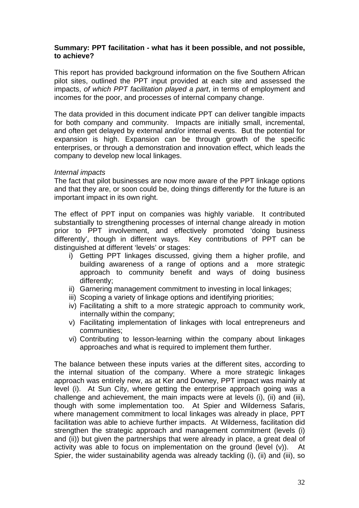#### <span id="page-31-0"></span>**Summary: PPT facilitation - what has it been possible, and not possible, to achieve?**

This report has provided background information on the five Southern African pilot sites, outlined the PPT input provided at each site and assessed the impacts, *of which PPT facilitation played a part*, in terms of employment and incomes for the poor, and processes of internal company change.

The data provided in this document indicate PPT can deliver tangible impacts for both company and community. Impacts are initially small, incremental, and often get delayed by external and/or internal events. But the potential for expansion is high. Expansion can be through growth of the specific enterprises, or through a demonstration and innovation effect, which leads the company to develop new local linkages.

#### *Internal impacts*

The fact that pilot businesses are now more aware of the PPT linkage options and that they are, or soon could be, doing things differently for the future is an important impact in its own right.

The effect of PPT input on companies was highly variable. It contributed substantially to strengthening processes of internal change already in motion prior to PPT involvement, and effectively promoted 'doing business differently', though in different ways. Key contributions of PPT can be distinguished at different 'levels' or stages:

- i) Getting PPT linkages discussed, giving them a higher profile, and building awareness of a range of options and a more strategic approach to community benefit and ways of doing business differently;
- ii) Garnering management commitment to investing in local linkages;
- iii) Scoping a variety of linkage options and identifying priorities;
- iv) Facilitating a shift to a more strategic approach to community work, internally within the company;
- v) Facilitating implementation of linkages with local entrepreneurs and communities;
- vi) Contributing to lesson-learning within the company about linkages approaches and what is required to implement them further.

The balance between these inputs varies at the different sites, according to the internal situation of the company. Where a more strategic linkages approach was entirely new, as at Ker and Downey, PPT impact was mainly at level (i). At Sun City, where getting the enterprise approach going was a challenge and achievement, the main impacts were at levels (i), (ii) and (iii), though with some implementation too. At Spier and Wilderness Safaris, where management commitment to local linkages was already in place, PPT facilitation was able to achieve further impacts. At Wilderness, facilitation did strengthen the strategic approach and management commitment (levels (i) and (ii)) but given the partnerships that were already in place, a great deal of activity was able to focus on implementation on the ground (level (v)). At Spier, the wider sustainability agenda was already tackling (i), (ii) and (iii), so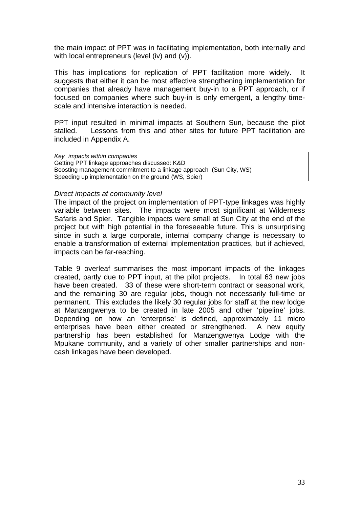the main impact of PPT was in facilitating implementation, both internally and with local entrepreneurs (level (iv) and (v)).

This has implications for replication of PPT facilitation more widely. It suggests that either it can be most effective strengthening implementation for companies that already have management buy-in to a PPT approach, or if focused on companies where such buy-in is only emergent, a lengthy timescale and intensive interaction is needed.

PPT input resulted in minimal impacts at Southern Sun, because the pilot stalled. Lessons from this and other sites for future PPT facilitation are included in Appendix A.

*Key impacts within companies*  Getting PPT linkage approaches discussed: K&D Boosting management commitment to a linkage approach (Sun City, WS) Speeding up implementation on the ground (WS, Spier)

#### *Direct impacts at community level*

The impact of the project on implementation of PPT-type linkages was highly variable between sites. The impacts were most significant at Wilderness Safaris and Spier. Tangible impacts were small at Sun City at the end of the project but with high potential in the foreseeable future. This is unsurprising since in such a large corporate, internal company change is necessary to enable a transformation of external implementation practices, but if achieved, impacts can be far-reaching.

Table 9 overleaf summarises the most important impacts of the linkages created, partly due to PPT input, at the pilot projects. In total 63 new jobs have been created. 33 of these were short-term contract or seasonal work, and the remaining 30 are regular jobs, though not necessarily full-time or permanent. This excludes the likely 30 regular jobs for staff at the new lodge at Manzangwenya to be created in late 2005 and other 'pipeline' jobs. Depending on how an 'enterprise' is defined, approximately 11 micro enterprises have been either created or strengthened. A new equity partnership has been established for Manzengwenya Lodge with the Mpukane community, and a variety of other smaller partnerships and noncash linkages have been developed.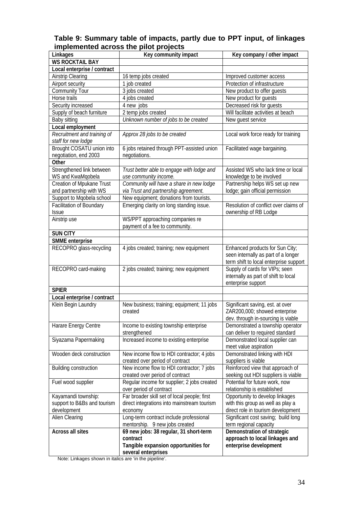#### **Table 9: Summary table of impacts, partly due to PPT input, of linkages implemented across the pilot projects**

| Linkages                     | Key community impact                                   | Key company / other impact                                           |  |
|------------------------------|--------------------------------------------------------|----------------------------------------------------------------------|--|
| <b>WS ROCKTAIL BAY</b>       |                                                        |                                                                      |  |
| Local enterprise / contract  |                                                        |                                                                      |  |
| <b>Airstrip Clearing</b>     | 16 temp jobs created                                   | Improved customer access                                             |  |
| Airport security             | 1 job created                                          | Protection of infrastructure                                         |  |
| <b>Community Tour</b>        | 3 jobs created                                         | New product to offer guests                                          |  |
| Horse trails                 | 4 jobs created                                         | New product for guests                                               |  |
| Security increased           | 4 new jobs                                             | Decreased risk for guests                                            |  |
| Supply of beach furniture    | 2 temp jobs created                                    | Will facilitate activities at beach                                  |  |
| Baby sitting                 | Unknown number of jobs to be created                   | New quest service                                                    |  |
| Local employment             |                                                        |                                                                      |  |
| Recruitment and training of  | Approx 28 jobs to be created                           | Local work force ready for training                                  |  |
| staff for new lodge          |                                                        |                                                                      |  |
| Brought COSATU union into    | 6 jobs retained through PPT-assisted union             | Facilitated wage bargaining.                                         |  |
| negotiation, end 2003        | negotiations.                                          |                                                                      |  |
| Other                        |                                                        |                                                                      |  |
| Strengthened link between    | Trust better able to engage with lodge and             | Assisted WS who lack time or local                                   |  |
| WS and KwaMqobela            | use community income.                                  | knowledge to be involved                                             |  |
| Creation of Mpukane Trust    | Community will have a share in new lodge               | Partnership helps WS set up new                                      |  |
| and partnership with WS      | via Trust and partnership agreement.                   | lodge; gain official permission                                      |  |
| Support to Mqobela school    | New equipment; donations from tourists.                |                                                                      |  |
| Facilitation of Boundary     | Emerging clarity on long standing issue.               | Resolution of conflict over claims of                                |  |
| <b>Issue</b>                 |                                                        | ownership of RB Lodge                                                |  |
| Airstrip use                 | WS/PPT approaching companies re                        |                                                                      |  |
|                              | payment of a fee to community.                         |                                                                      |  |
| SUN CITY                     |                                                        |                                                                      |  |
| SMME enterprise              |                                                        |                                                                      |  |
| RECOPRO glass-recycling      | 4 jobs created; training; new equipment                | Enhanced products for Sun City;                                      |  |
|                              |                                                        | seen internally as part of a longer                                  |  |
|                              |                                                        | term shift to local enterprise support                               |  |
| RECOPRO card-making          | 2 jobs created; training; new equipment                | Supply of cards for VIPs; seen                                       |  |
|                              |                                                        | internally as part of shift to local                                 |  |
|                              |                                                        | enterprise support                                                   |  |
| <b>SPIER</b>                 |                                                        |                                                                      |  |
| Local enterprise / contract  |                                                        |                                                                      |  |
| Klein Begin Laundry          | New business; training; equipment; 11 jobs             | Significant saving, est. at over                                     |  |
|                              | created                                                | ZAR200,000; showed enterprise                                        |  |
|                              |                                                        | dev. through in-sourcing is viable                                   |  |
| Harare Energy Centre         | Income to existing township enterprise<br>strengthened | Demonstrated a township operator<br>can deliver to required standard |  |
| Siyazama Papermaking         | Increased income to existing enterprise                | Demonstrated local supplier can                                      |  |
|                              |                                                        | meet value aspiration                                                |  |
| Wooden deck construction     | New income flow to HDI contractor; 4 jobs              | Demonstrated linking with HDI                                        |  |
|                              | created over period of contract                        | suppliers is viable                                                  |  |
| <b>Building construction</b> | New income flow to HDI contractor; 7 jobs              | Reinforced view that approach of                                     |  |
|                              | created over period of contract                        | seeking out HDI suppliers is viable                                  |  |
| Fuel wood supplier           | Regular income for supplier; 2 jobs created            | Potential for future work, now                                       |  |
|                              | over period of contract                                | relationship is established                                          |  |
| Kayamandi township:          | Far broader skill set of local people; first           | Opportunity to develop linkages                                      |  |
| support to B&Bs and tourism  | direct integrations into mainstream tourism            | with this group as well as play a                                    |  |
| development                  | economy                                                | direct role in tourism development                                   |  |
| Alien Clearing               | Long-term contract include professional                | Significant cost saving; build long                                  |  |
|                              | mentorship. 9 new jobs created                         | term regional capacity                                               |  |
| <b>Across all sites</b>      | 69 new jobs: 38 regular, 31 short-term                 | Demonstration of strategic                                           |  |
|                              | contract                                               | approach to local linkages and                                       |  |
|                              | Tangible expansion opportunities for                   | enterprise development                                               |  |
|                              | several enterprises                                    |                                                                      |  |

Note: Linkages shown in italics are 'in the pipeline'.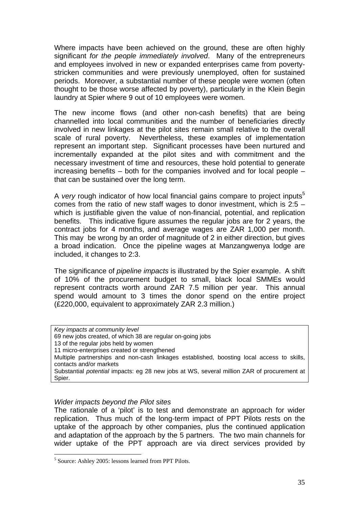Where impacts have been achieved on the ground, these are often highly significant *for the people immediately involved*. Many of the entrepreneurs and employees involved in new or expanded enterprises came from povertystricken communities and were previously unemployed, often for sustained periods. Moreover, a substantial number of these people were women (often thought to be those worse affected by poverty), particularly in the Klein Begin laundry at Spier where 9 out of 10 employees were women.

The new income flows (and other non-cash benefits) that are being channelled into local communities and the number of beneficiaries directly involved in new linkages at the pilot sites remain small relative to the overall scale of rural poverty. Nevertheless, these examples of implementation represent an important step. Significant processes have been nurtured and incrementally expanded at the pilot sites and with commitment and the necessary investment of time and resources, these hold potential to generate increasing benefits – both for the companies involved and for local people – that can be sustained over the long term.

A *very* rough indicator of how local financial gains compare to project inputs<sup>[5](#page-34-0)</sup> comes from the ratio of new staff wages to donor investment, which is 2:5 – which is justifiable given the value of non-financial, potential, and replication benefits. This indicative figure assumes the regular jobs are for 2 years, the contract jobs for 4 months, and average wages are ZAR 1,000 per month. This may be wrong by an order of magnitude of 2 in either direction, but gives a broad indication. Once the pipeline wages at Manzangwenya lodge are included, it changes to 2:3.

The significance of *pipeline impacts* is illustrated by the Spier example. A shift of 10% of the procurement budget to small, black local SMMEs would represent contracts worth around ZAR 7.5 million per year. This annual spend would amount to 3 times the donor spend on the entire project (£220,000, equivalent to approximately ZAR 2.3 million.)

*Key impacts at community level*  69 new jobs created, of which 38 are regular on-going jobs 13 of the regular jobs held by women 11 micro-enterprises created or strengthened Multiple partnerships and non-cash linkages established, boosting local access to skills, contacts and/or markets Substantial *potential* impacts: eg 28 new jobs at WS, several million ZAR of procurement at Spier.

#### *Wider impacts beyond the Pilot sites*

 $\overline{a}$ 

The rationale of a 'pilot' is to test and demonstrate an approach for wider replication. Thus much of the long-term impact of PPT Pilots rests on the uptake of the approach by other companies, plus the continued application and adaptation of the approach by the 5 partners. The two main channels for wider uptake of the PPT approach are via direct services provided by

<span id="page-34-0"></span><sup>5</sup> Source: Ashley 2005: lessons learned from PPT Pilots.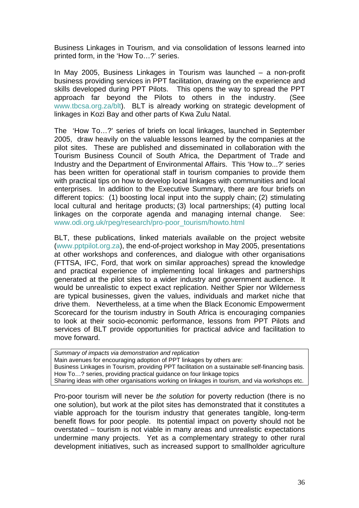Business Linkages in Tourism, and via consolidation of lessons learned into printed form, in the 'How To…?' series.

In May 2005, Business Linkages in Tourism was launched – a non-profit business providing services in PPT facilitation, drawing on the experience and skills developed during PPT Pilots. This opens the way to spread the PPT approach far beyond the Pilots to others in the industry. (See [www.tbcsa.org.za/blt\)](http://www.tbcsa.org.za/blt). BLT is already working on strategic development of linkages in Kozi Bay and other parts of Kwa Zulu Natal.

The 'How To…?' series of briefs on local linkages, launched in September 2005, draw heavily on the valuable lessons learned by the companies at the pilot sites. These are published and disseminated in collaboration with the Tourism Business Council of South Africa, the Department of Trade and Industry and the Department of Environmental Affairs. This 'How to...?' series has been written for operational staff in tourism companies to provide them with practical tips on how to develop local linkages with communities and local enterprises. In addition to the Executive Summary, there are four briefs on different topics: (1) boosting local input into the supply chain; (2) stimulating local cultural and heritage products; (3) local partnerships; (4) putting local linkages on the corporate agenda and managing internal change. See: [www.odi.org.uk/rpeg/research/pro-poor\\_tourism/howto.html](http://www.odi.org.uk/rpeg/research/pro-poor_tourism/howto.html)

BLT, these publications, linked materials available on the project website ([www.pptpilot.org.za\)](http://www.pptpilot.org.za/), the end-of-project workshop in May 2005, presentations at other workshops and conferences, and dialogue with other organisations (FTTSA, IFC, Ford, that work on similar approaches) spread the knowledge and practical experience of implementing local linkages and partnerships generated at the pilot sites to a wider industry and government audience. It would be unrealistic to expect exact replication. Neither Spier nor Wilderness are typical businesses, given the values, individuals and market niche that drive them. Nevertheless, at a time when the Black Economic Empowerment Scorecard for the tourism industry in South Africa is encouraging companies to look at their socio-economic performance, lessons from PPT Pilots and services of BLT provide opportunities for practical advice and facilitation to move forward.

*Summary of impacts via demonstration and replication*  Main avenues for encouraging adoption of PPT linkages by others are: Business Linkages in Tourism, providing PPT facilitation on a sustainable self-financing basis. How To…? series, providing practical guidance on four linkage topics Sharing ideas with other organisations working on linkages in tourism, and via workshops etc.

Pro-poor tourism will never be *the solution* for poverty reduction (there is no one solution), but work at the pilot sites has demonstrated that it constitutes a viable approach for the tourism industry that generates tangible, long-term benefit flows for poor people. Its potential impact on poverty should not be overstated – tourism is not viable in many areas and unrealistic expectations undermine many projects. Yet as a complementary strategy to other rural development initiatives, such as increased support to smallholder agriculture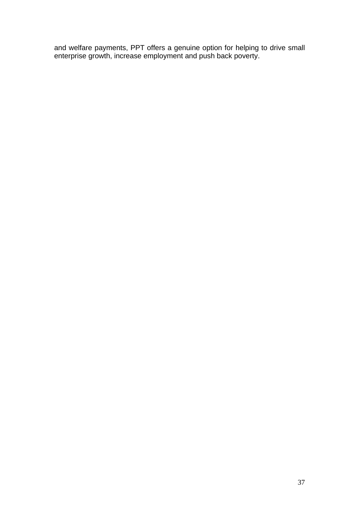and welfare payments, PPT offers a genuine option for helping to drive small enterprise growth, increase employment and push back poverty.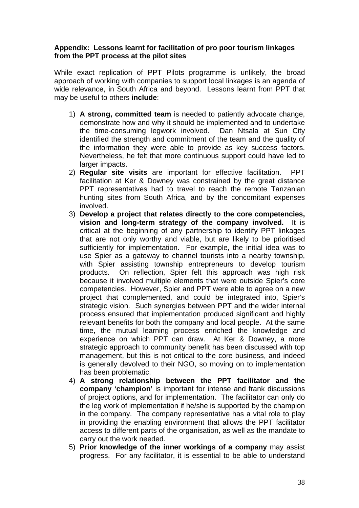# <span id="page-37-0"></span>**Appendix: Lessons learnt for facilitation of pro poor tourism linkages from the PPT process at the pilot sites**

While exact replication of PPT Pilots programme is unlikely, the broad approach of working with companies to support local linkages is an agenda of wide relevance, in South Africa and beyond. Lessons learnt from PPT that may be useful to others **include**:

- 1) **A strong, committed team** is needed to patiently advocate change, demonstrate how and why it should be implemented and to undertake the time-consuming legwork involved. Dan Ntsala at Sun City identified the strength and commitment of the team and the quality of the information they were able to provide as key success factors. Nevertheless, he felt that more continuous support could have led to larger impacts.
- 2) **Regular site visits** are important for effective facilitation. PPT facilitation at Ker & Downey was constrained by the great distance PPT representatives had to travel to reach the remote Tanzanian hunting sites from South Africa, and by the concomitant expenses involved.
- 3) **Develop a project that relates directly to the core competencies, vision and long-term strategy of the company involved.** It is critical at the beginning of any partnership to identify PPT linkages that are not only worthy and viable, but are likely to be prioritised sufficiently for implementation. For example, the initial idea was to use Spier as a gateway to channel tourists into a nearby township, with Spier assisting township entrepreneurs to develop tourism products. On reflection, Spier felt this approach was high risk because it involved multiple elements that were outside Spier's core competencies. However, Spier and PPT were able to agree on a new project that complemented, and could be integrated into, Spier's strategic vision. Such synergies between PPT and the wider internal process ensured that implementation produced significant and highly relevant benefits for both the company and local people. At the same time, the mutual learning process enriched the knowledge and experience on which PPT can draw. At Ker & Downey, a more strategic approach to community benefit has been discussed with top management, but this is not critical to the core business, and indeed is generally devolved to their NGO, so moving on to implementation has been problematic.
- 4) **A strong relationship between the PPT facilitator and the company 'champion'** is important for intense and frank discussions of project options, and for implementation. The facilitator can only do the leg work of implementation if he/she is supported by the champion in the company. The company representative has a vital role to play in providing the enabling environment that allows the PPT facilitator access to different parts of the organisation, as well as the mandate to carry out the work needed.
- 5) **Prior knowledge of the inner workings of a company** may assist progress. For any facilitator, it is essential to be able to understand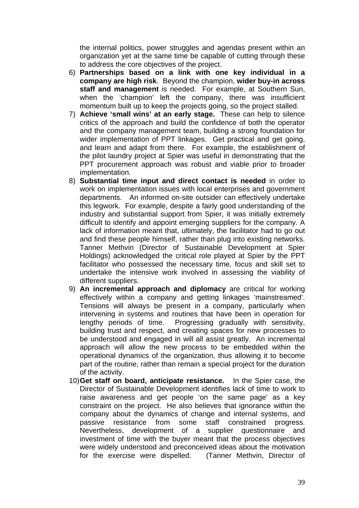the internal politics, power struggles and agendas present within an organization yet at the same time be capable of cutting through these to address the core objectives of the project.

- 6) **Partnerships based on a link with one key individual in a company are high risk**. Beyond the champion, **wider buy-in across staff and management** is needed. For example, at Southern Sun, when the 'champion' left the company, there was insufficient momentum built up to keep the projects going, so the project stalled.
- 7) **Achieve 'small wins' at an early stage.** These can help to silence critics of the approach and build the confidence of both the operator and the company management team, building a strong foundation for wider implementation of PPT linkages. Get practical and get going, and learn and adapt from there. For example, the establishment of the pilot laundry project at Spier was useful in demonstrating that the PPT procurement approach was robust and viable prior to broader implementation.
- 8) **Substantial time input and direct contact is needed** in order to work on implementation issues with local enterprises and government departments. An informed on-site outsider can effectively undertake this legwork. For example, despite a fairly good understanding of the industry and substantial support from Spier, it was initially extremely difficult to identify and appoint emerging suppliers for the company. A lack of information meant that, ultimately, the facilitator had to go out and find these people himself, rather than plug into existing networks. Tanner Methvin (Director of Sustainable Development at Spier Holdings) acknowledged the critical role played at Spier by the PPT facilitator who possessed the necessary time, focus and skill set to undertake the intensive work involved in assessing the viability of different suppliers.
- 9) **An incremental approach and diplomacy** are critical for working effectively within a company and getting linkages 'mainstreamed'. Tensions will always be present in a company, particularly when intervening in systems and routines that have been in operation for lengthy periods of time. Progressing gradually with sensitivity, building trust and respect, and creating spaces for new processes to be understood and engaged in will all assist greatly. An incremental approach will allow the new process to be embedded within the operational dynamics of the organization, thus allowing it to become part of the routine, rather than remain a special project for the duration of the activity.
- 10) **Get staff on board, anticipate resistance.** In the Spier case, the Director of Sustainable Development identifies lack of time to work to raise awareness and get people 'on the same page' as a key constraint on the project. He also believes that ignorance within the company about the dynamics of change and internal systems, and passive resistance from some staff constrained progress. Nevertheless, development of a supplier questionnaire and investment of time with the buyer meant that the process objectives were widely understood and preconceived ideas about the motivation for the exercise were dispelled. (Tanner Methvin, Director of